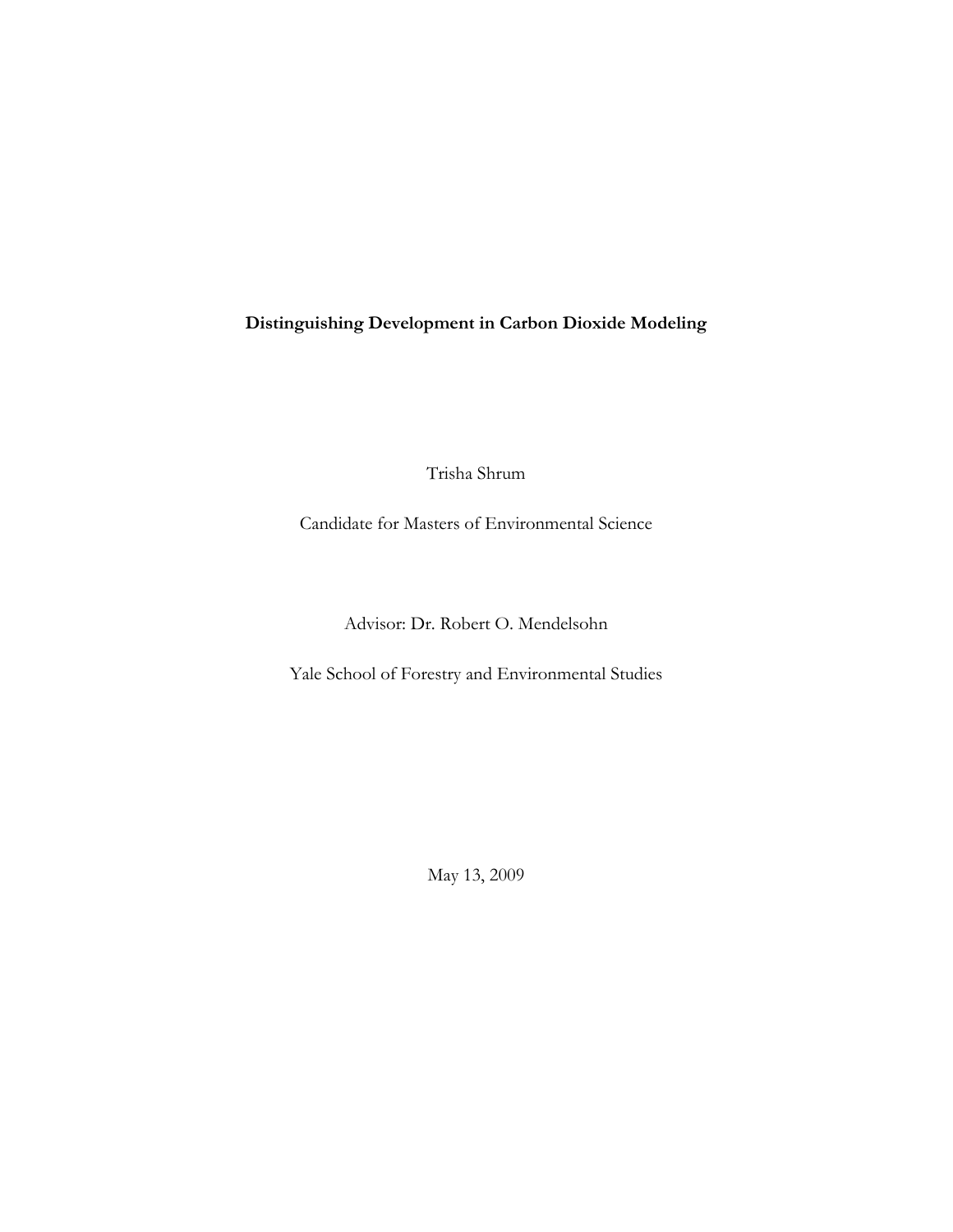**Distinguishing Development in Carbon Dioxide Modeling**

Trisha Shrum

Candidate for Masters of Environmental Science

Advisor: Dr. Robert O. Mendelsohn

Yale School of Forestry and Environmental Studies

May 13, 2009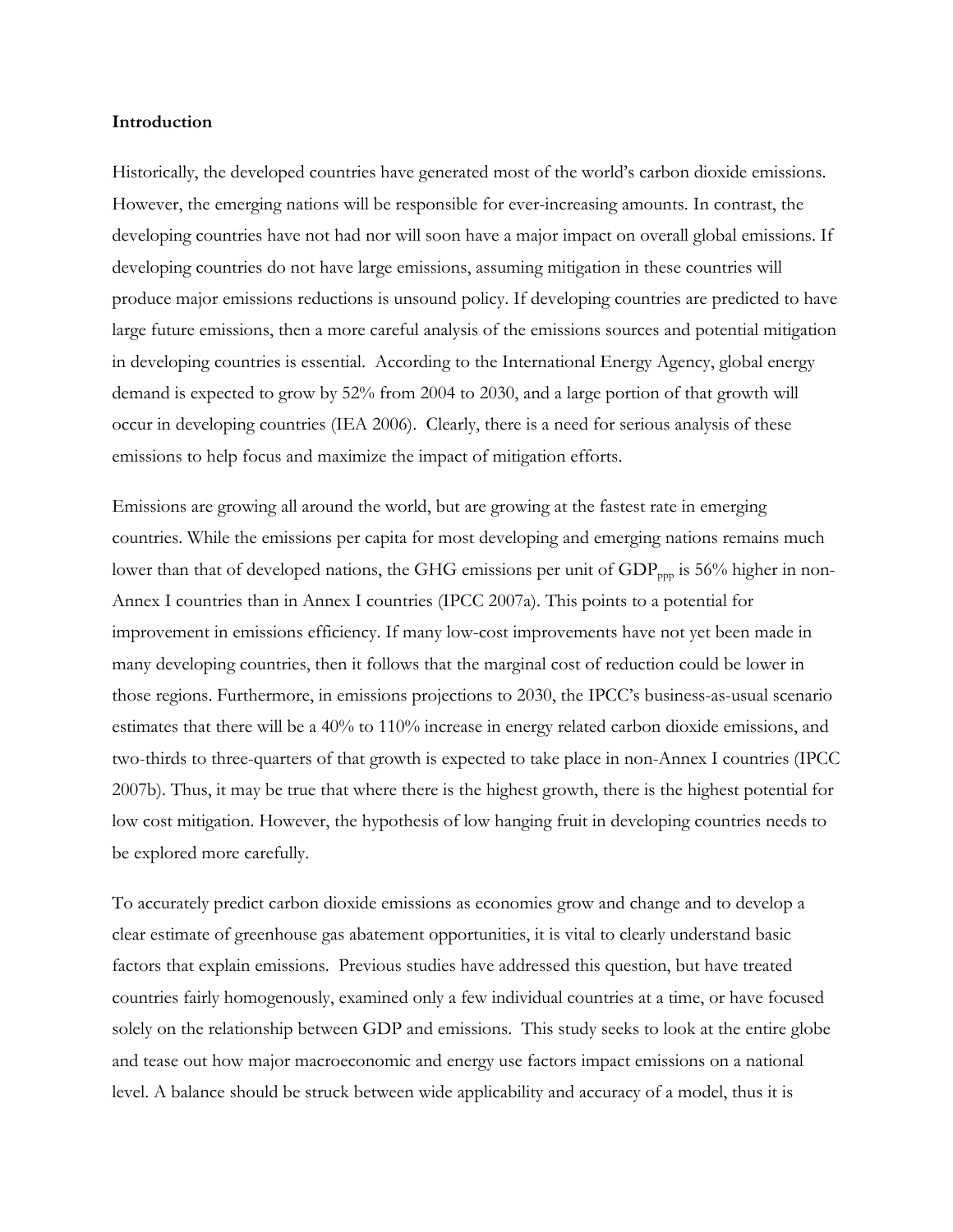#### **Introduction**

Historically, the developed countries have generated most of the world's carbon dioxide emissions. However, the emerging nations will be responsible for ever-increasing amounts. In contrast, the developing countries have not had nor will soon have a major impact on overall global emissions. If developing countries do not have large emissions, assuming mitigation in these countries will produce major emissions reductions is unsound policy. If developing countries are predicted to have large future emissions, then a more careful analysis of the emissions sources and potential mitigation in developing countries is essential. According to the International Energy Agency, global energy demand is expected to grow by 52% from 2004 to 2030, and a large portion of that growth will occur in developing countries (IEA 2006). Clearly, there is a need for serious analysis of these emissions to help focus and maximize the impact of mitigation efforts.

Emissions are growing all around the world, but are growing at the fastest rate in emerging countries. While the emissions per capita for most developing and emerging nations remains much lower than that of developed nations, the GHG emissions per unit of  $GDP_{pop}$  is 56% higher in non-Annex I countries than in Annex I countries (IPCC 2007a). This points to a potential for improvement in emissions efficiency. If many low-cost improvements have not yet been made in many developing countries, then it follows that the marginal cost of reduction could be lower in those regions. Furthermore, in emissions projections to 2030, the IPCC's business-as-usual scenario estimates that there will be a 40% to 110% increase in energy related carbon dioxide emissions, and two-thirds to three-quarters of that growth is expected to take place in non-Annex I countries (IPCC 2007b). Thus, it may be true that where there is the highest growth, there is the highest potential for low cost mitigation. However, the hypothesis of low hanging fruit in developing countries needs to be explored more carefully.

To accurately predict carbon dioxide emissions as economies grow and change and to develop a clear estimate of greenhouse gas abatement opportunities, it is vital to clearly understand basic factors that explain emissions. Previous studies have addressed this question, but have treated countries fairly homogenously, examined only a few individual countries at a time, or have focused solely on the relationship between GDP and emissions. This study seeks to look at the entire globe and tease out how major macroeconomic and energy use factors impact emissions on a national level. A balance should be struck between wide applicability and accuracy of a model, thus it is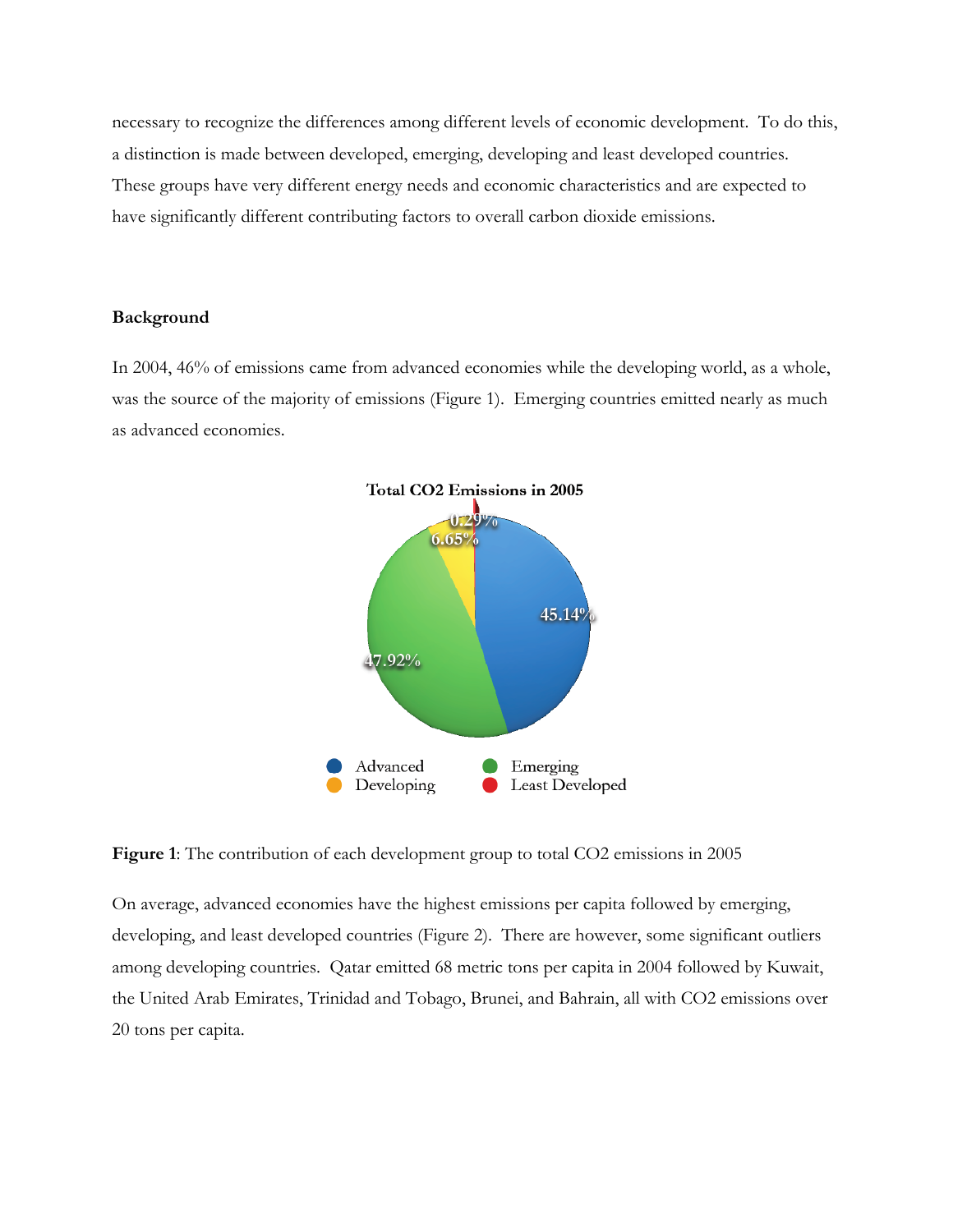necessary to recognize the differences among different levels of economic development. To do this, a distinction is made between developed, emerging, developing and least developed countries. These groups have very different energy needs and economic characteristics and are expected to have significantly different contributing factors to overall carbon dioxide emissions.

### **Background**

In 2004, 46% of emissions came from advanced economies while the developing world, as a whole, was the source of the majority of emissions (Figure 1). Emerging countries emitted nearly as much as advanced economies.



**Figure 1**: The contribution of each development group to total CO2 emissions in 2005

On average, advanced economies have the highest emissions per capita followed by emerging, developing, and least developed countries (Figure 2). There are however, some significant outliers among developing countries. Qatar emitted 68 metric tons per capita in 2004 followed by Kuwait, the United Arab Emirates, Trinidad and Tobago, Brunei, and Bahrain, all with CO2 emissions over 20 tons per capita.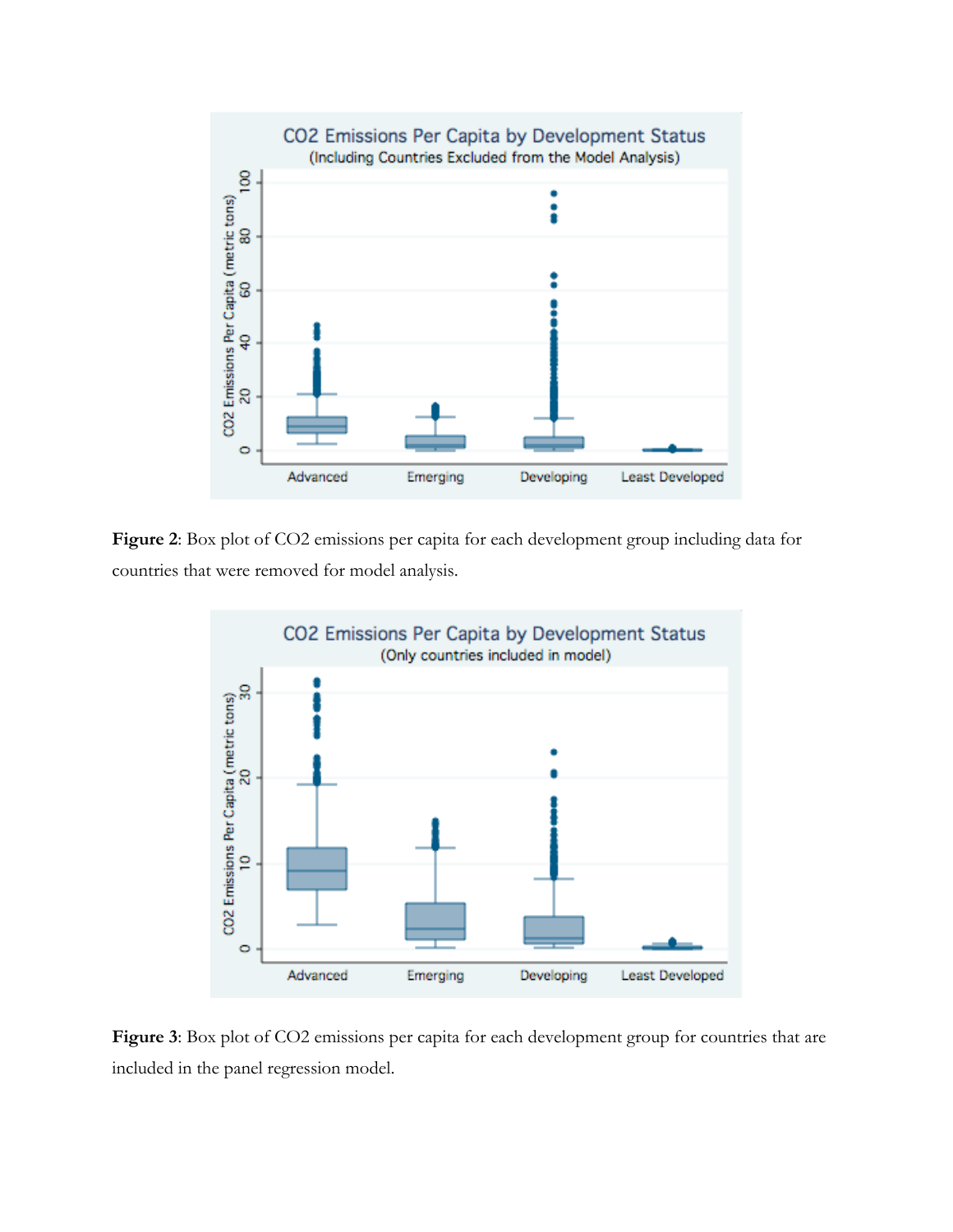

**Figure 2**: Box plot of CO2 emissions per capita for each development group including data for countries that were removed for model analysis.



**Figure 3**: Box plot of CO2 emissions per capita for each development group for countries that are included in the panel regression model.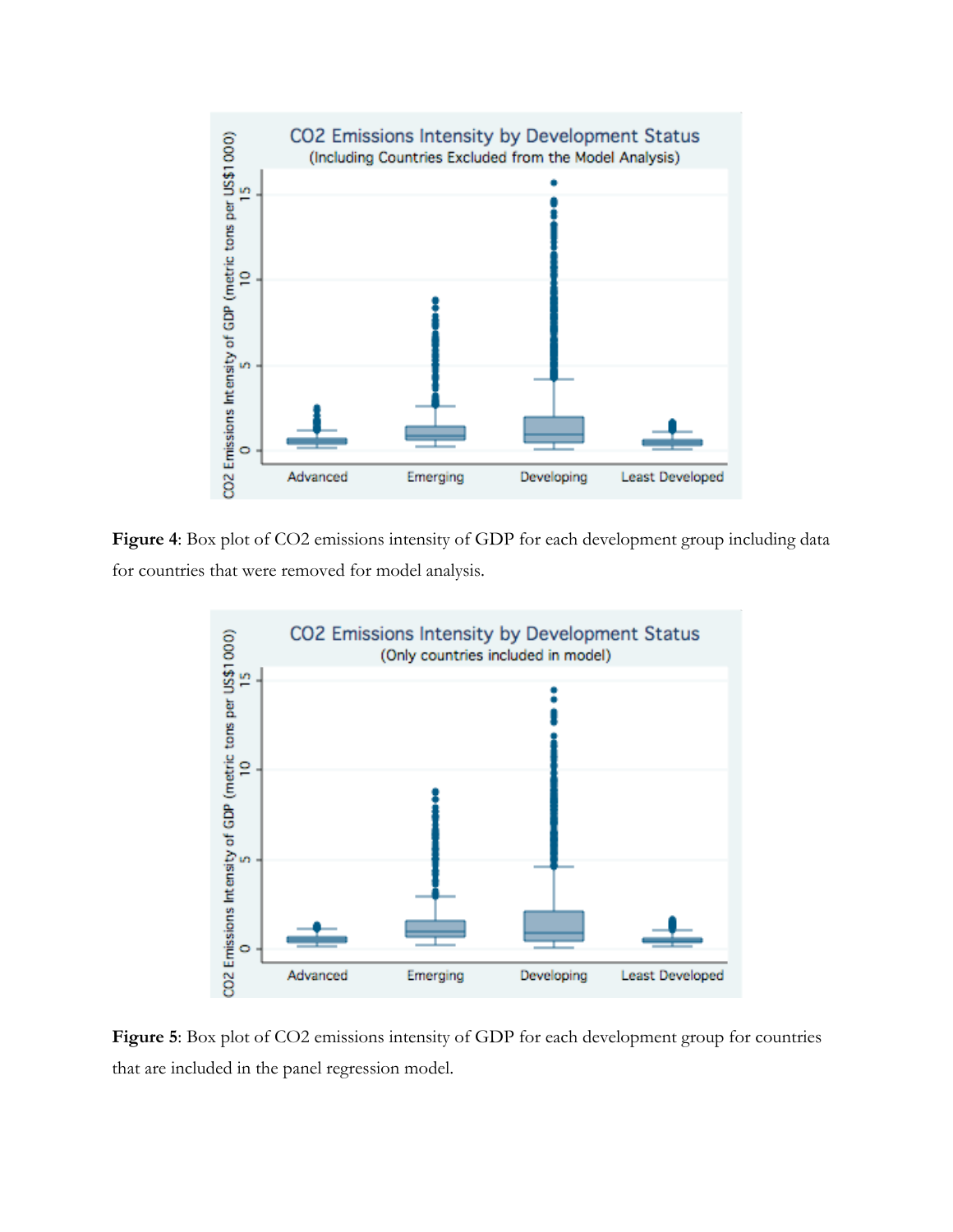

**Figure 4**: Box plot of CO2 emissions intensity of GDP for each development group including data for countries that were removed for model analysis.



**Figure 5**: Box plot of CO2 emissions intensity of GDP for each development group for countries that are included in the panel regression model.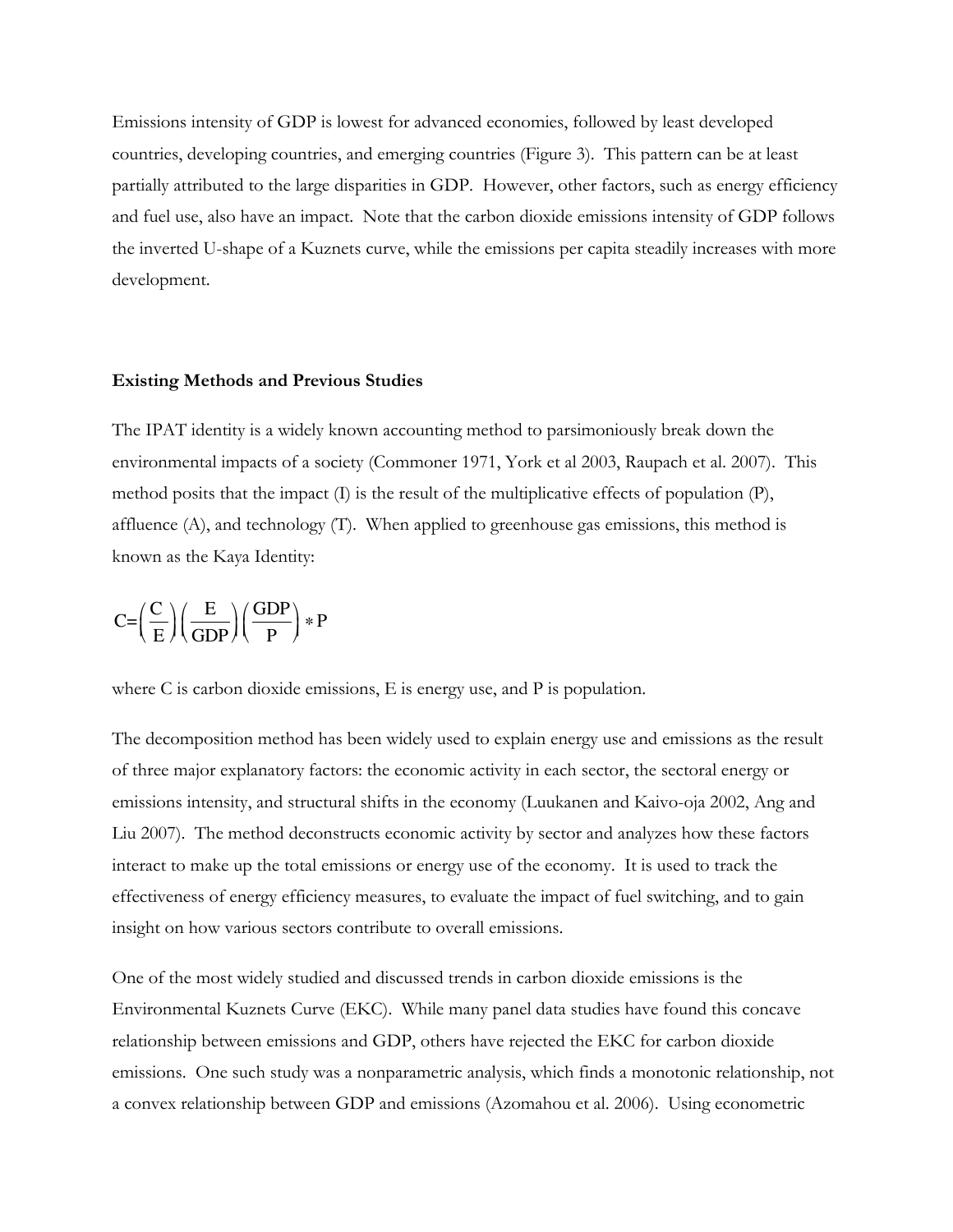Emissions intensity of GDP is lowest for advanced economies, followed by least developed countries, developing countries, and emerging countries (Figure 3). This pattern can be at least partially attributed to the large disparities in GDP. However, other factors, such as energy efficiency and fuel use, also have an impact. Note that the carbon dioxide emissions intensity of GDP follows the inverted U-shape of a Kuznets curve, while the emissions per capita steadily increases with more development.

#### **Existing Methods and Previous Studies**

The IPAT identity is a widely known accounting method to parsimoniously break down the environmental impacts of a society (Commoner 1971, York et al 2003, Raupach et al. 2007). This method posits that the impact (I) is the result of the multiplicative effects of population (P), affluence (A), and technology (T). When applied to greenhouse gas emissions, this method is known as the Kaya Identity:

$$
C\!\!=\!\!\left(\frac{C}{E}\right)\!\left(\frac{E}{GDP}\right)\!\left(\frac{GDP}{P}\right)\ast P
$$

where C is carbon dioxide emissions, E is energy use, and P is population.

The decomposition method has been widely used to explain energy use and emissions as the result of three major explanatory factors: the economic activity in each sector, the sectoral energy or emissions intensity, and structural shifts in the economy (Luukanen and Kaivo-oja 2002, Ang and Liu 2007). The method deconstructs economic activity by sector and analyzes how these factors interact to make up the total emissions or energy use of the economy. It is used to track the effectiveness of energy efficiency measures, to evaluate the impact of fuel switching, and to gain insight on how various sectors contribute to overall emissions.

One of the most widely studied and discussed trends in carbon dioxide emissions is the Environmental Kuznets Curve (EKC). While many panel data studies have found this concave relationship between emissions and GDP, others have rejected the EKC for carbon dioxide emissions. One such study was a nonparametric analysis, which finds a monotonic relationship, not a convex relationship between GDP and emissions (Azomahou et al. 2006). Using econometric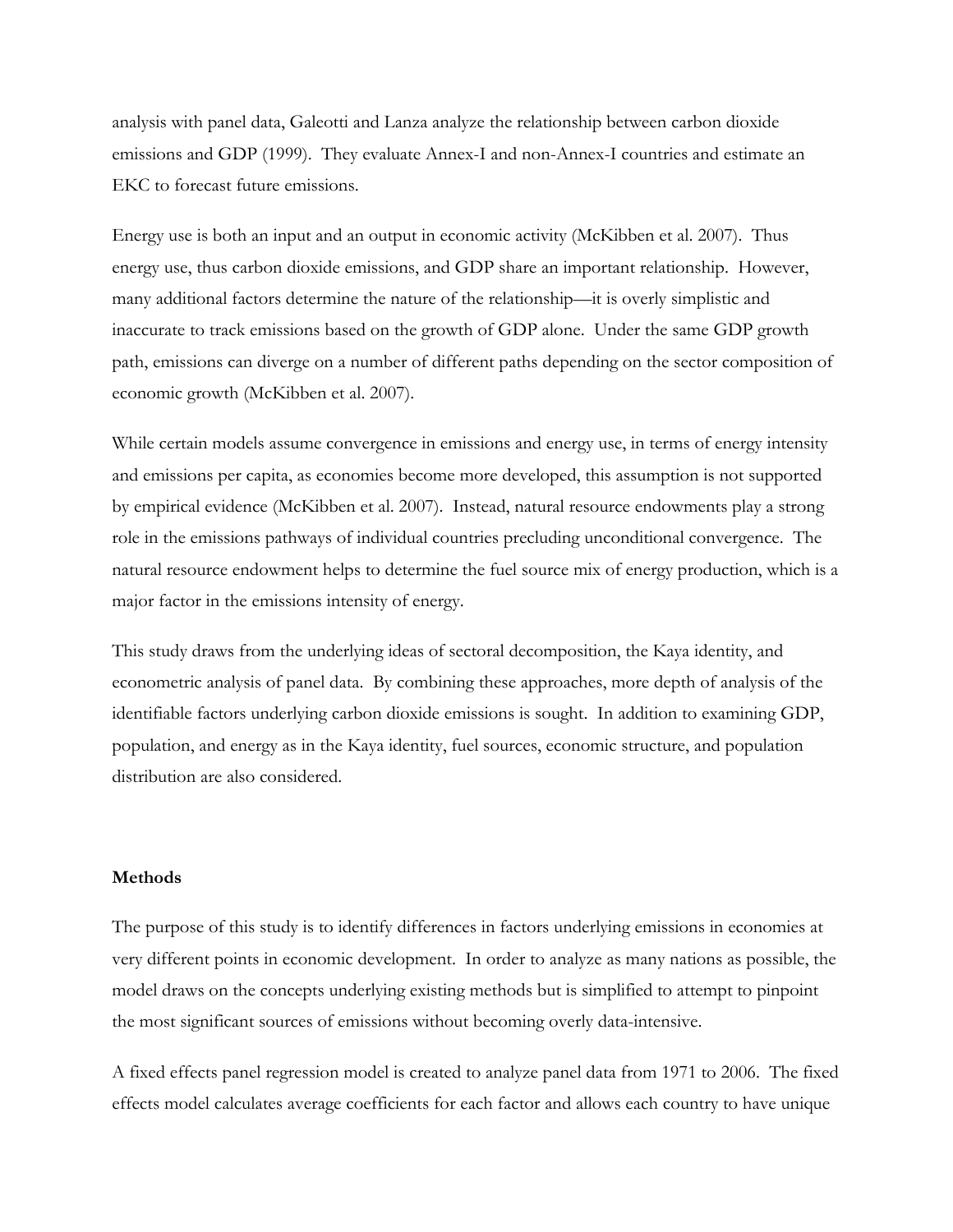analysis with panel data, Galeotti and Lanza analyze the relationship between carbon dioxide emissions and GDP (1999). They evaluate Annex-I and non-Annex-I countries and estimate an EKC to forecast future emissions.

Energy use is both an input and an output in economic activity (McKibben et al. 2007). Thus energy use, thus carbon dioxide emissions, and GDP share an important relationship. However, many additional factors determine the nature of the relationship—it is overly simplistic and inaccurate to track emissions based on the growth of GDP alone. Under the same GDP growth path, emissions can diverge on a number of different paths depending on the sector composition of economic growth (McKibben et al. 2007).

While certain models assume convergence in emissions and energy use, in terms of energy intensity and emissions per capita, as economies become more developed, this assumption is not supported by empirical evidence (McKibben et al. 2007). Instead, natural resource endowments play a strong role in the emissions pathways of individual countries precluding unconditional convergence. The natural resource endowment helps to determine the fuel source mix of energy production, which is a major factor in the emissions intensity of energy.

This study draws from the underlying ideas of sectoral decomposition, the Kaya identity, and econometric analysis of panel data. By combining these approaches, more depth of analysis of the identifiable factors underlying carbon dioxide emissions is sought. In addition to examining GDP, population, and energy as in the Kaya identity, fuel sources, economic structure, and population distribution are also considered.

#### **Methods**

The purpose of this study is to identify differences in factors underlying emissions in economies at very different points in economic development. In order to analyze as many nations as possible, the model draws on the concepts underlying existing methods but is simplified to attempt to pinpoint the most significant sources of emissions without becoming overly data-intensive.

A fixed effects panel regression model is created to analyze panel data from 1971 to 2006. The fixed effects model calculates average coefficients for each factor and allows each country to have unique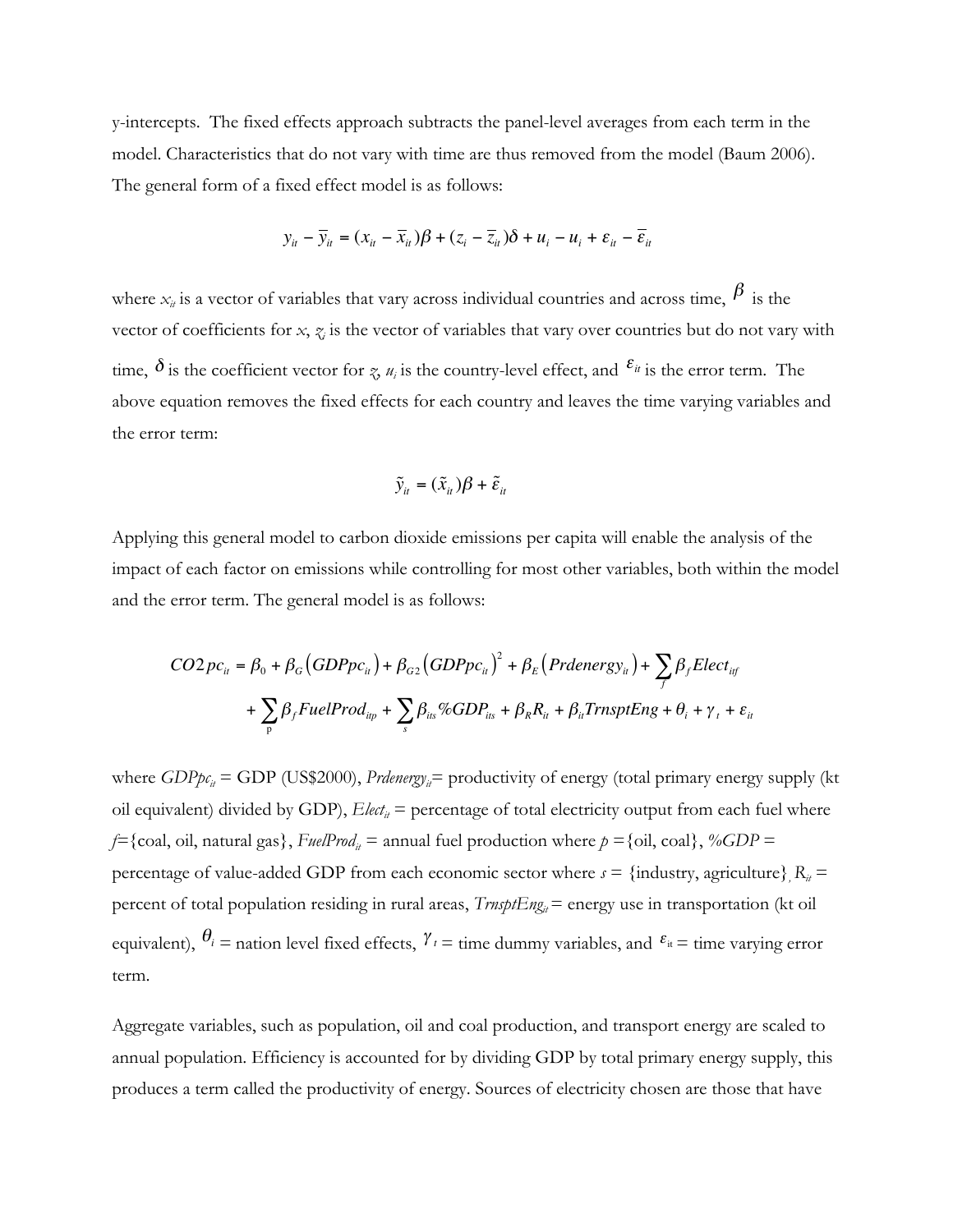y-intercepts. The fixed effects approach subtracts the panel-level averages from each term in the model. Characteristics that do not vary with time are thus removed from the model (Baum 2006). The general form of a fixed effect model is as follows:

$$
y_{it} - \overline{y}_{it} = (x_{it} - \overline{x}_{it})\beta + (z_i - \overline{z}_{it})\delta + u_i - u_i + \varepsilon_{it} - \overline{\varepsilon}_{it}
$$

where  $x_{it}$  is a vector of variables that vary across individual countries and across time,  $\beta$  is the vector of coefficients for  $x$ ,  $z<sub>i</sub>$  is the vector of variables that vary over countries but do not vary with time,  $\delta$  is the coefficient vector for *z*, *u<sub>i</sub>* is the country-level effect, and  $\epsilon$ <sup>*u*</sup> is the error term. The above equation removes the fixed effects for each country and leaves the time varying variables and the error term:

$$
\tilde{y}_{it} = (\tilde{x}_{it})\beta + \tilde{\varepsilon}_{it}
$$

Applying this general model to carbon dioxide emissions per capita will enable the analysis of the impact of each factor on emissions while controlling for most other variables, both within the model and the error term. The general model is as follows:

$$
CO2pc_{it} = \beta_0 + \beta_G (GDPpc_{it}) + \beta_{G2} (GDPpc_{it})^2 + \beta_E (Prdenergy_{it}) + \sum_j \beta_j Elect_{itf}
$$

$$
+ \sum_p \beta_j FuelProd_{ip} + \sum_s \beta_{its} \% GDP_{its} + \beta_k R_{it} + \beta_{it} TrnsptEng + \theta_i + \gamma_t + \varepsilon_{it}
$$

where  $GDP_{p_{c_i}} = GDP$  (US\$2000), *Prdenergy<sub>i</sub>*= productivity of energy (total primary energy supply (kt oil equivalent) divided by GDP),  $E$ lect<sub>it</sub> = percentage of total electricity output from each fuel where *f*={coal, oil, natural gas}, *FuelProd<sub>it</sub>* = annual fuel production where  $p =$ {oil, coal}, %*GDP* = percentage of value-added GDP from each economic sector where  $s = \{\text{industry}, \text{agriculture}\}\, R_{it} =$ percent of total population residing in rural areas, *TrnsptEng<sub>it</sub>* = energy use in transportation (kt oil equivalent),  $\theta_i$  = nation level fixed effects,  $\gamma_i$  = time dummy variables, and  $\varepsilon_i$  = time varying error term.

Aggregate variables, such as population, oil and coal production, and transport energy are scaled to annual population. Efficiency is accounted for by dividing GDP by total primary energy supply, this produces a term called the productivity of energy. Sources of electricity chosen are those that have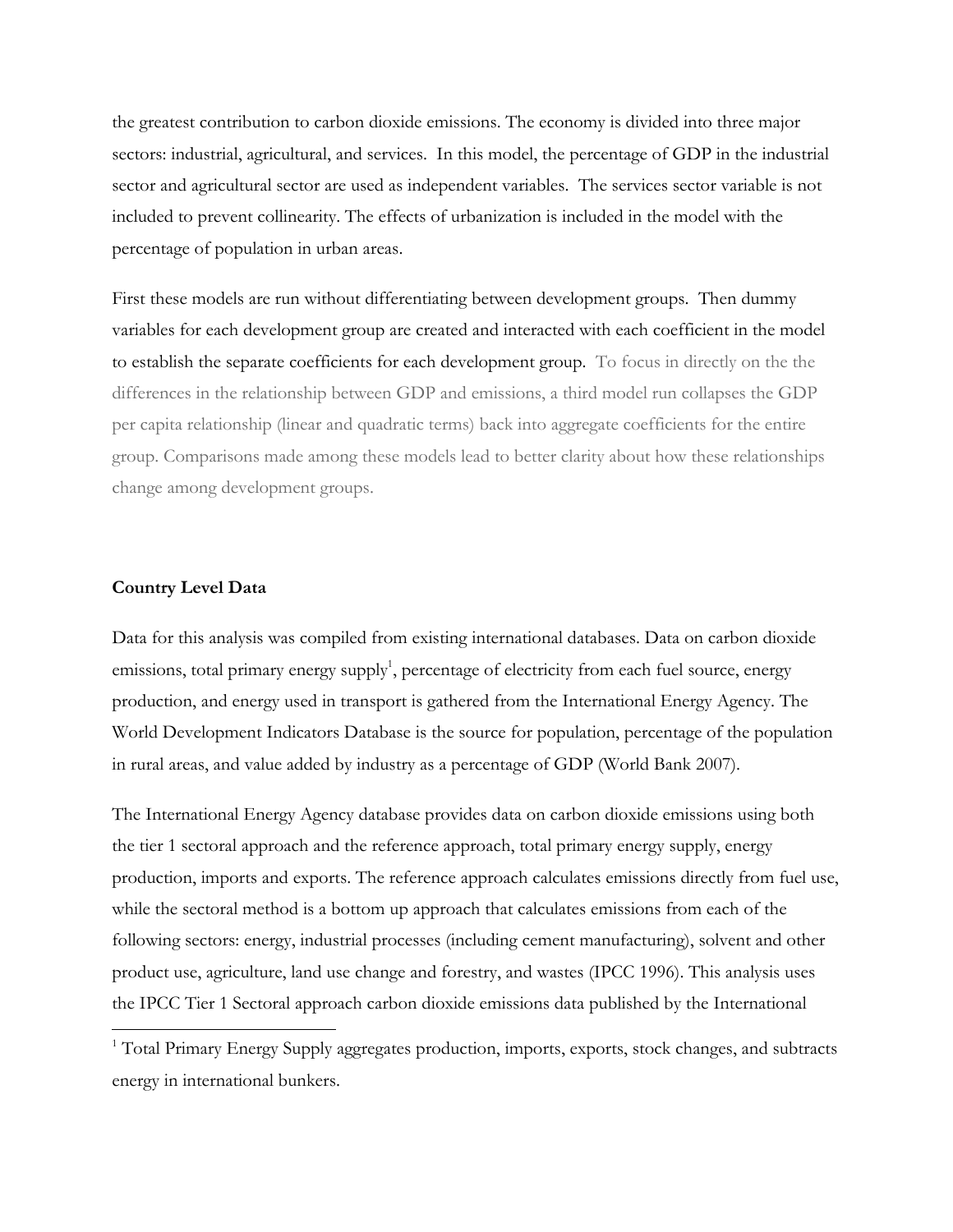the greatest contribution to carbon dioxide emissions. The economy is divided into three major sectors: industrial, agricultural, and services. In this model, the percentage of GDP in the industrial sector and agricultural sector are used as independent variables. The services sector variable is not included to prevent collinearity. The effects of urbanization is included in the model with the percentage of population in urban areas.

First these models are run without differentiating between development groups. Then dummy variables for each development group are created and interacted with each coefficient in the model to establish the separate coefficients for each development group. To focus in directly on the the differences in the relationship between GDP and emissions, a third model run collapses the GDP per capita relationship (linear and quadratic terms) back into aggregate coefficients for the entire group. Comparisons made among these models lead to better clarity about how these relationships change among development groups.

### **Country Level Data**

 $\overline{a}$ 

Data for this analysis was compiled from existing international databases. Data on carbon dioxide emissions, total primary energy supply<sup>1</sup>, percentage of electricity from each fuel source, energy production, and energy used in transport is gathered from the International Energy Agency. The World Development Indicators Database is the source for population, percentage of the population in rural areas, and value added by industry as a percentage of GDP (World Bank 2007).

The International Energy Agency database provides data on carbon dioxide emissions using both the tier 1 sectoral approach and the reference approach, total primary energy supply, energy production, imports and exports. The reference approach calculates emissions directly from fuel use, while the sectoral method is a bottom up approach that calculates emissions from each of the following sectors: energy, industrial processes (including cement manufacturing), solvent and other product use, agriculture, land use change and forestry, and wastes (IPCC 1996). This analysis uses the IPCC Tier 1 Sectoral approach carbon dioxide emissions data published by the International

<sup>&</sup>lt;sup>1</sup> Total Primary Energy Supply aggregates production, imports, exports, stock changes, and subtracts energy in international bunkers.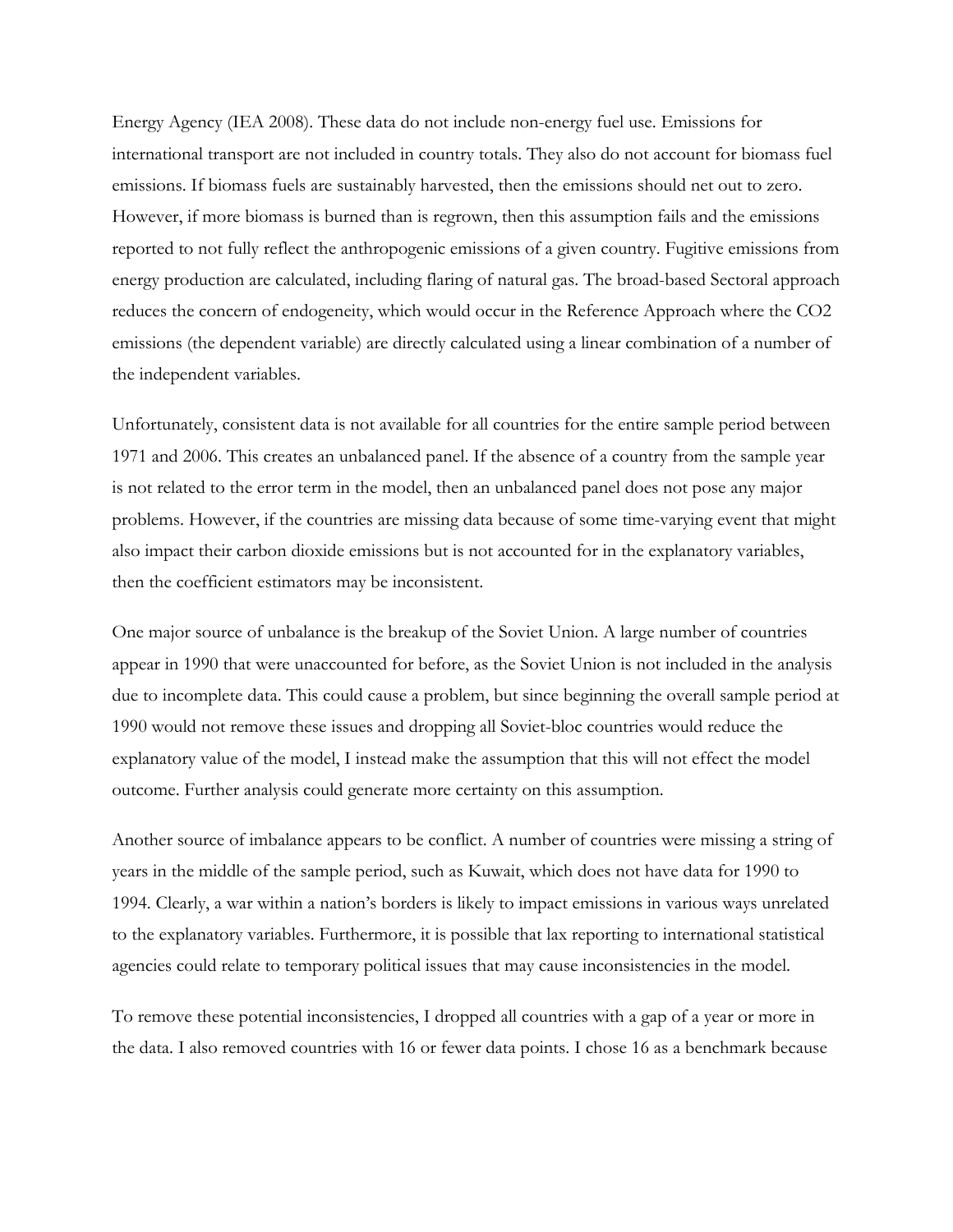Energy Agency (IEA 2008). These data do not include non-energy fuel use. Emissions for international transport are not included in country totals. They also do not account for biomass fuel emissions. If biomass fuels are sustainably harvested, then the emissions should net out to zero. However, if more biomass is burned than is regrown, then this assumption fails and the emissions reported to not fully reflect the anthropogenic emissions of a given country. Fugitive emissions from energy production are calculated, including flaring of natural gas. The broad-based Sectoral approach reduces the concern of endogeneity, which would occur in the Reference Approach where the CO2 emissions (the dependent variable) are directly calculated using a linear combination of a number of the independent variables.

Unfortunately, consistent data is not available for all countries for the entire sample period between 1971 and 2006. This creates an unbalanced panel. If the absence of a country from the sample year is not related to the error term in the model, then an unbalanced panel does not pose any major problems. However, if the countries are missing data because of some time-varying event that might also impact their carbon dioxide emissions but is not accounted for in the explanatory variables, then the coefficient estimators may be inconsistent.

One major source of unbalance is the breakup of the Soviet Union. A large number of countries appear in 1990 that were unaccounted for before, as the Soviet Union is not included in the analysis due to incomplete data. This could cause a problem, but since beginning the overall sample period at 1990 would not remove these issues and dropping all Soviet-bloc countries would reduce the explanatory value of the model, I instead make the assumption that this will not effect the model outcome. Further analysis could generate more certainty on this assumption.

Another source of imbalance appears to be conflict. A number of countries were missing a string of years in the middle of the sample period, such as Kuwait, which does not have data for 1990 to 1994. Clearly, a war within a nation's borders is likely to impact emissions in various ways unrelated to the explanatory variables. Furthermore, it is possible that lax reporting to international statistical agencies could relate to temporary political issues that may cause inconsistencies in the model.

To remove these potential inconsistencies, I dropped all countries with a gap of a year or more in the data. I also removed countries with 16 or fewer data points. I chose 16 as a benchmark because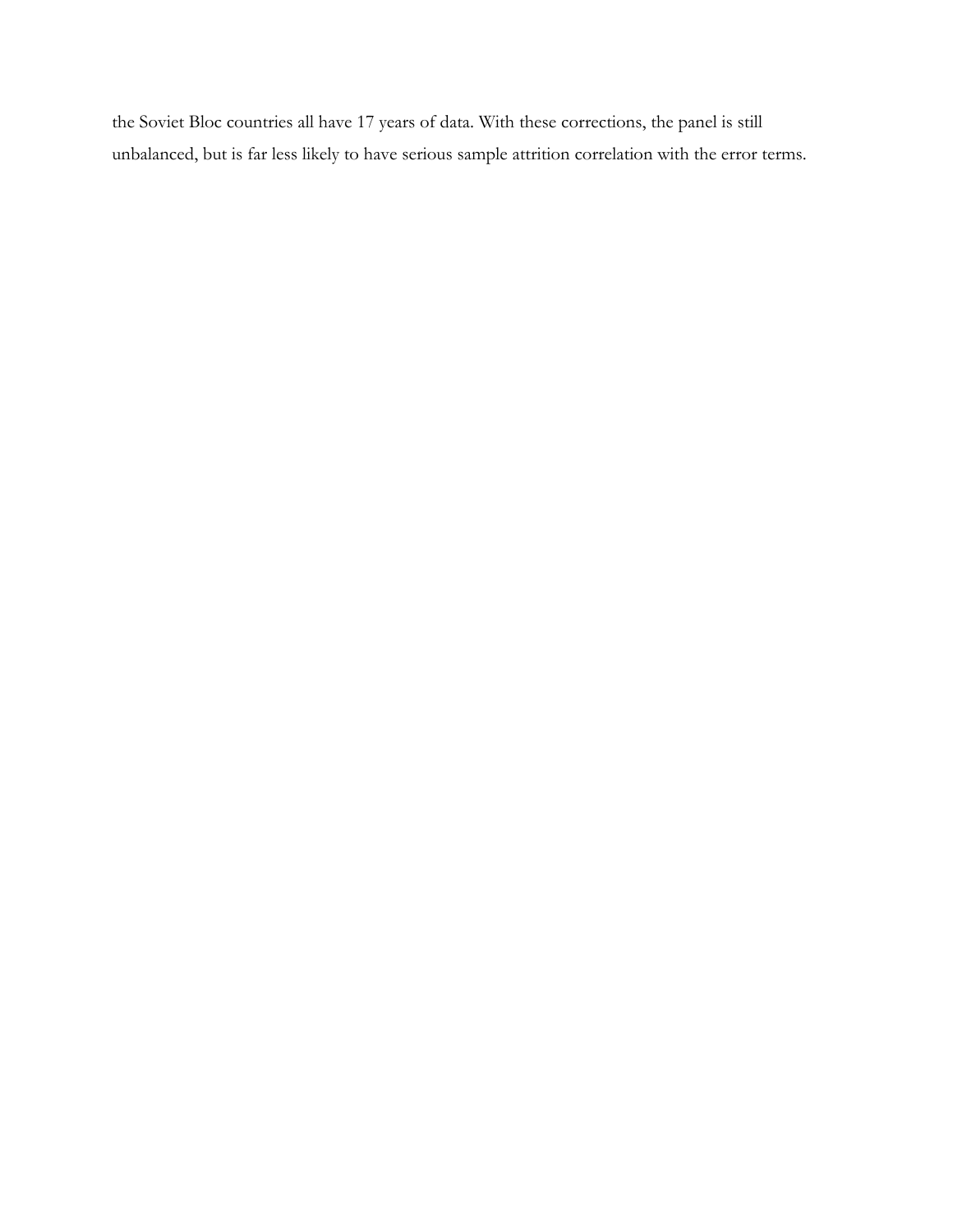the Soviet Bloc countries all have 17 years of data. With these corrections, the panel is still unbalanced, but is far less likely to have serious sample attrition correlation with the error terms.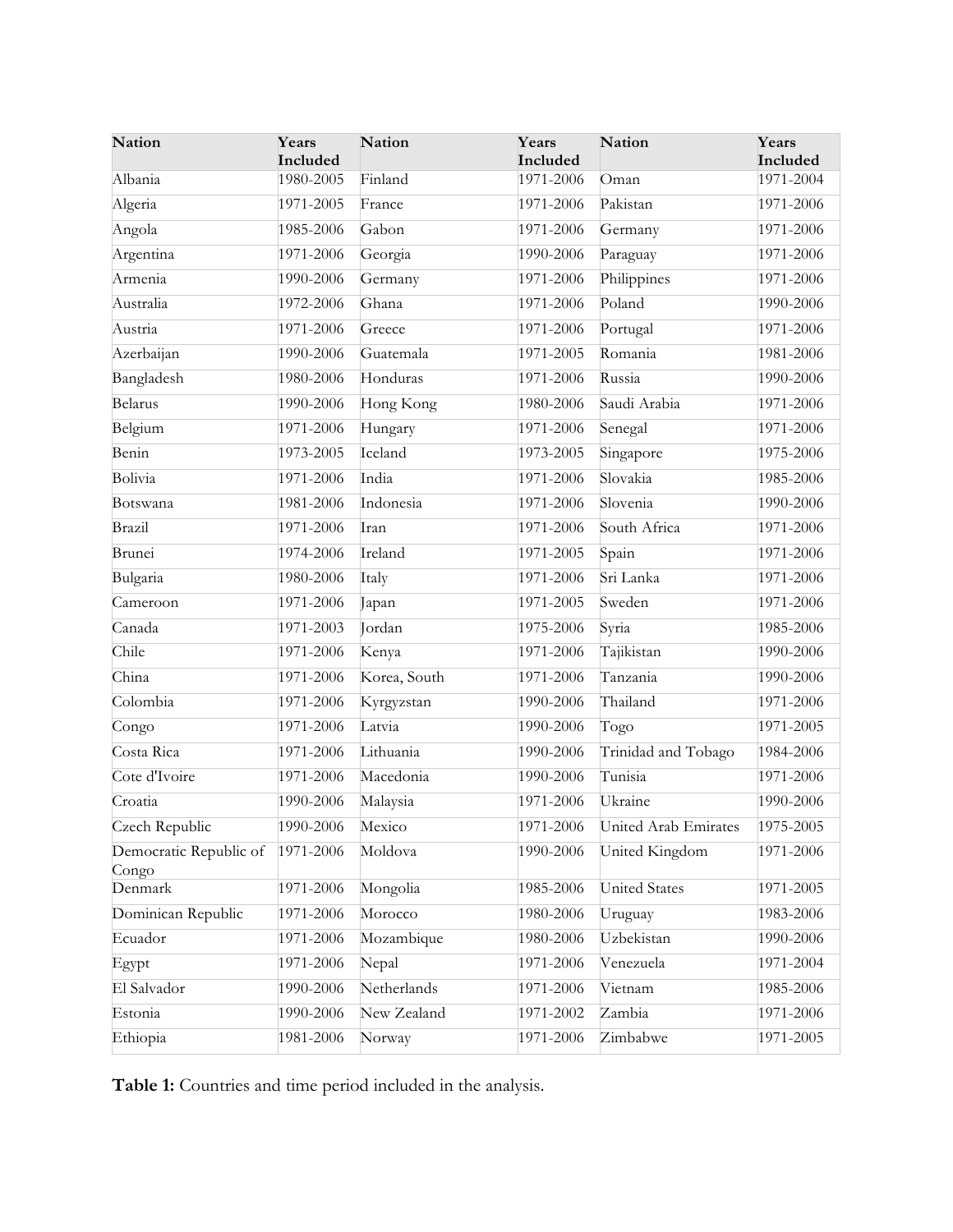| <b>Nation</b>          | Years<br>Included | <b>Nation</b>        | Years<br>Included | Nation                                   | Years<br>Included      |
|------------------------|-------------------|----------------------|-------------------|------------------------------------------|------------------------|
| Albania                | 1980-2005         | Finland              | 1971-2006         | Oman                                     | 1971-2004              |
| Algeria                | 1971-2005         | France               | 1971-2006         | Pakistan                                 | 1971-2006              |
| Angola                 | 1985-2006         | Gabon                | 1971-2006         | Germany                                  | 1971-2006              |
| Argentina              | 1971-2006         | Georgia              | 1990-2006         | Paraguay                                 | 1971-2006              |
| Armenia                | 1990-2006         | Germany              | 1971-2006         | Philippines                              | 1971-2006              |
| Australia              | 1972-2006         | Ghana                | 1971-2006         | Poland                                   | 1990-2006              |
| Austria                | 1971-2006         | Greece               | 1971-2006         | Portugal                                 | 1971-2006              |
| Azerbaijan             | 1990-2006         | Guatemala            | 1971-2005         | Romania                                  | 1981-2006              |
| Bangladesh             | 1980-2006         | Honduras             | 1971-2006         | Russia                                   | 1990-2006              |
| <b>Belarus</b>         | 1990-2006         | Hong Kong            | 1980-2006         | Saudi Arabia                             | 1971-2006              |
| Belgium                | 1971-2006         | Hungary              | 1971-2006         | Senegal                                  | 1971-2006              |
| Benin                  | 1973-2005         | Iceland              | 1973-2005         | Singapore                                | 1975-2006              |
| Bolivia                | 1971-2006         | India                | 1971-2006         | Slovakia                                 | 1985-2006              |
| Botswana               | 1981-2006         | Indonesia            | 1971-2006         | Slovenia                                 | 1990-2006              |
| Brazil                 | 1971-2006         | Iran                 | 1971-2006         | South Africa                             | 1971-2006              |
| Brunei                 | 1974-2006         | Ireland              | 1971-2005         | Spain                                    | 1971-2006              |
| Bulgaria               | 1980-2006         | Italy                | 1971-2006         | Sri Lanka                                | 1971-2006              |
| Cameroon               | 1971-2006         | Japan                | 1971-2005         | Sweden                                   | 1971-2006              |
| Canada                 | 1971-2003         | Jordan               | 1975-2006         | Syria                                    | 1985-2006              |
| Chile                  | 1971-2006         | Kenya                | 1971-2006         | Tajikistan                               | 1990-2006              |
| China                  | 1971-2006         | Korea, South         | 1971-2006         | Tanzania                                 | 1990-2006              |
| Colombia               | 1971-2006         | Kyrgyzstan           | 1990-2006         | Thailand                                 | 1971-2006              |
| Congo                  | 1971-2006         | Latvia               | 1990-2006         | Togo                                     | 1971-2005              |
| Costa Rica             | 1971-2006         | Lithuania            | 1990-2006         | Trinidad and Tobago                      | 1984-2006              |
| Cote d'Ivoire          | 1971-2006         | Macedonia            | 1990-2006         | Tunisia                                  | 1971-2006              |
| Croatia                | 1990-2006         | Malaysia             | 1971-2006         | Ukraine                                  | 1990-2006              |
| Czech Republic         | 1990-2006         | Mexico               |                   | 1971-2006 United Arab Emirates 1975-2005 |                        |
| Democratic Republic of | 1971-2006         | Moldova              | 1990-2006         | United Kingdom                           | 1971-2006              |
| Congo<br>Denmark       | 1971-2006         | Mongolia             | 1985-2006         | <b>United States</b>                     | 1971-2005              |
| Dominican Republic     | 1971-2006         | Morocco              | 1980-2006         | Uruguay                                  | 1983-2006              |
| Ecuador                | 1971-2006         | Mozambique           | 1980-2006         | Uzbekistan                               | 1990-2006              |
|                        |                   |                      |                   | Venezuela                                |                        |
| Egypt<br>El Salvador   | 1971-2006         | Nepal<br>Netherlands | 1971-2006         | Vietnam                                  | 1971-2004              |
|                        | 1990-2006         | New Zealand          | 1971-2006         |                                          | 1985-2006<br>1971-2006 |
| Estonia                | 1990-2006         |                      | 1971-2002         | Zambia                                   |                        |
| Ethiopia               | 1981-2006         | Norway               | 1971-2006         | Zimbabwe                                 | 1971-2005              |

**Table 1:** Countries and time period included in the analysis.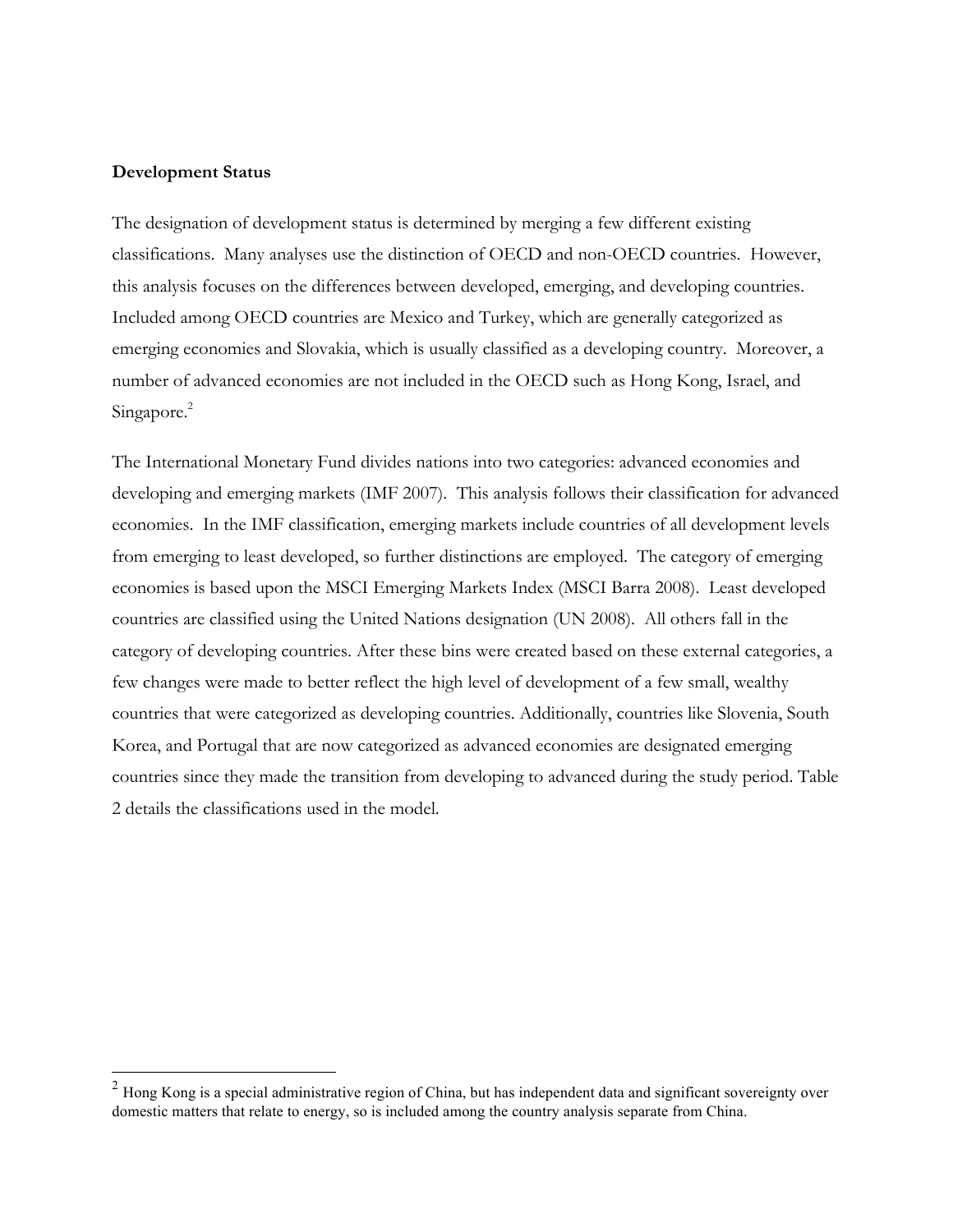#### **Development Status**

The designation of development status is determined by merging a few different existing classifications. Many analyses use the distinction of OECD and non-OECD countries. However, this analysis focuses on the differences between developed, emerging, and developing countries. Included among OECD countries are Mexico and Turkey, which are generally categorized as emerging economies and Slovakia, which is usually classified as a developing country. Moreover, a number of advanced economies are not included in the OECD such as Hong Kong, Israel, and Singapore.<sup>2</sup>

The International Monetary Fund divides nations into two categories: advanced economies and developing and emerging markets (IMF 2007). This analysis follows their classification for advanced economies. In the IMF classification, emerging markets include countries of all development levels from emerging to least developed, so further distinctions are employed. The category of emerging economies is based upon the MSCI Emerging Markets Index (MSCI Barra 2008). Least developed countries are classified using the United Nations designation (UN 2008). All others fall in the category of developing countries. After these bins were created based on these external categories, a few changes were made to better reflect the high level of development of a few small, wealthy countries that were categorized as developing countries. Additionally, countries like Slovenia, South Korea, and Portugal that are now categorized as advanced economies are designated emerging countries since they made the transition from developing to advanced during the study period. Table 2 details the classifications used in the model.

 $2$  Hong Kong is a special administrative region of China, but has independent data and significant sovereignty over domestic matters that relate to energy, so is included among the country analysis separate from China.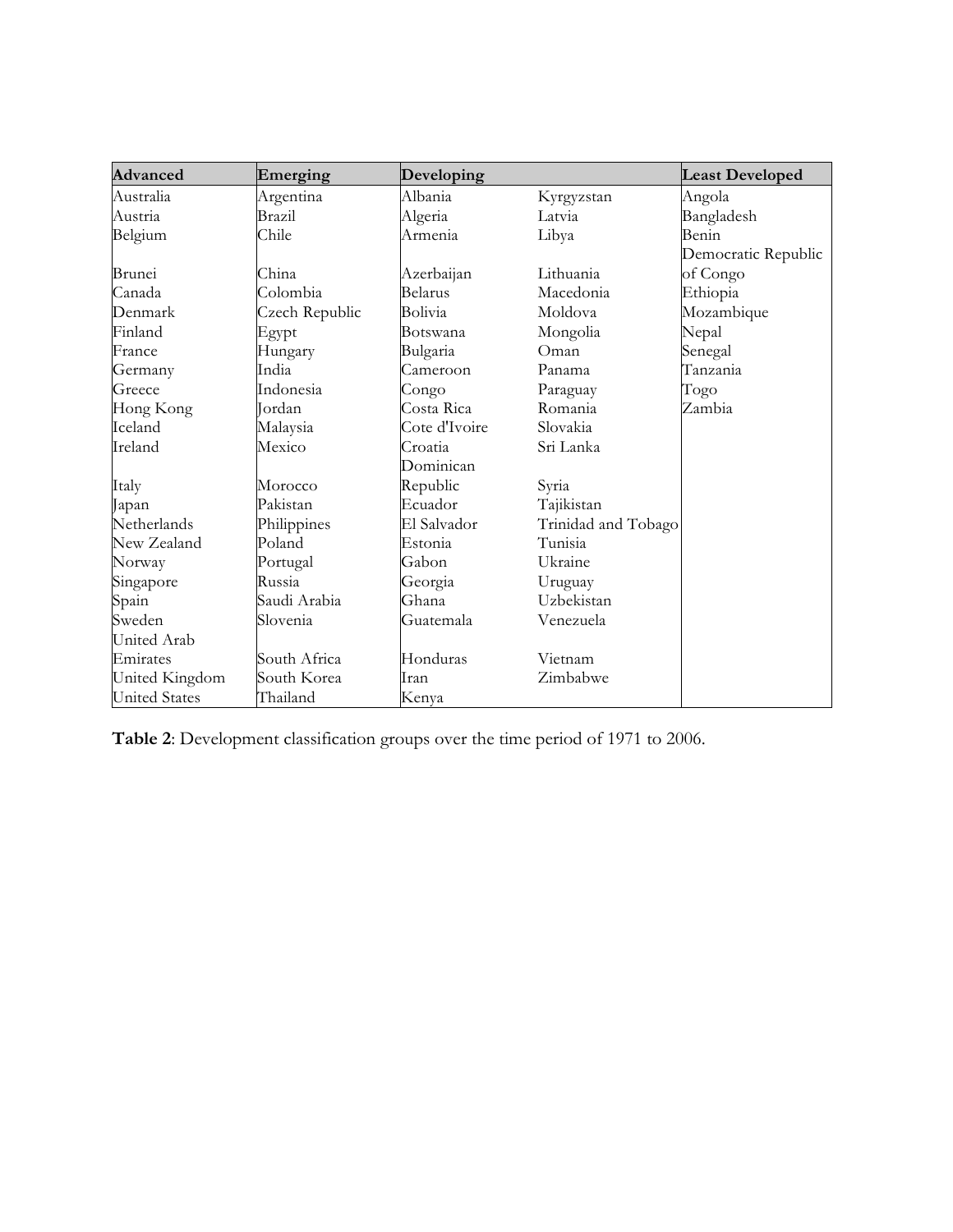| <b>Advanced</b>      | Emerging       | Developing    |                     | <b>Least Developed</b> |
|----------------------|----------------|---------------|---------------------|------------------------|
| Australia            | Argentina      | Albania       | Kyrgyzstan          | Angola                 |
| Austria              | Brazil         | Algeria       | Latvia              | Bangladesh             |
| Belgium              | Chile          | Armenia       | Libya               | Benin                  |
|                      |                |               |                     | Democratic Republic    |
| Brunei               | China          | Azerbaijan    | Lithuania           | of Congo               |
| Canada               | Colombia       | Belarus       | Macedonia           | Ethiopia               |
| Denmark              | Czech Republic | Bolivia       | Moldova             | Mozambique             |
| Finland              | Egypt          | Botswana      | Mongolia            | Nepal                  |
| France               | Hungary        | Bulgaria      | Oman                | Senegal                |
| Germany              | India          | Cameroon      | Panama              | Tanzania               |
| Greece               | Indonesia      | Congo         | Paraguay            | Togo                   |
| Hong Kong            | Jordan         | Costa Rica    | Romania             | Zambia                 |
| Iceland              | Malaysia       | Cote d'Ivoire | Slovakia            |                        |
| Ireland              | Mexico         | Croatia       | Sri Lanka           |                        |
|                      |                | Dominican     |                     |                        |
| Italy                | Morocco        | Republic      | Syria               |                        |
| Japan                | Pakistan       | Ecuador       | Tajikistan          |                        |
| Netherlands          | Philippines    | El Salvador   | Trinidad and Tobago |                        |
| New Zealand          | Poland         | Estonia       | Tunisia             |                        |
| Norway               | Portugal       | Gabon         | Ukraine             |                        |
| Singapore            | Russia         | Georgia       | Uruguay             |                        |
| Spain                | Saudi Arabia   | Ghana         | Uzbekistan          |                        |
| Sweden               | Slovenia       | Guatemala     | Venezuela           |                        |
| United Arab          |                |               |                     |                        |
| Emirates             | South Africa   | Honduras      | Vietnam             |                        |
| United Kingdom       | South Korea    | Iran          | Zimbabwe            |                        |
| <b>United States</b> | Thailand       | Kenya         |                     |                        |

**Table 2**: Development classification groups over the time period of 1971 to 2006.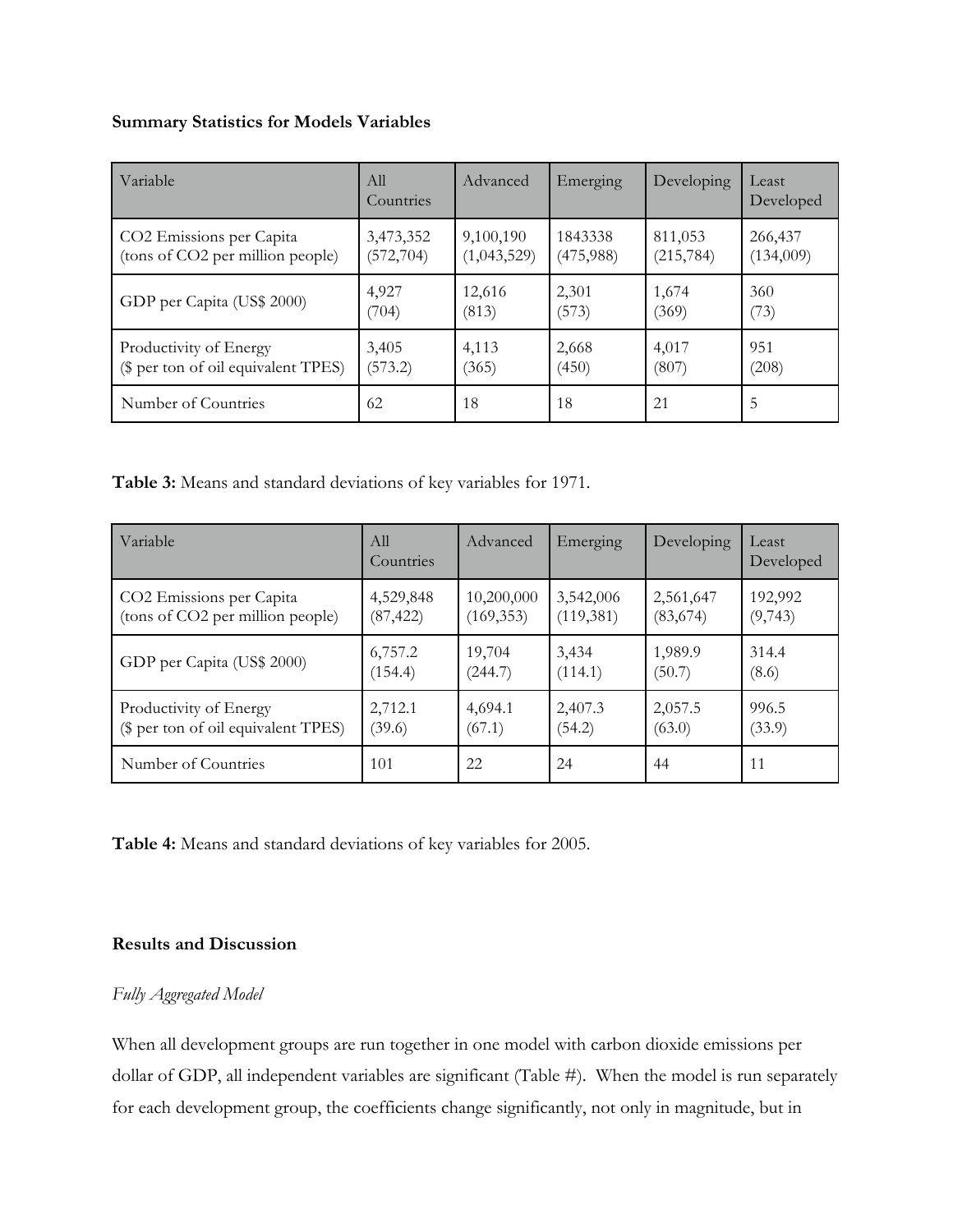### **Summary Statistics for Models Variables**

| Variable                            | A11<br>Countries | Advanced    | Emerging  | Developing | Least<br>Developed |
|-------------------------------------|------------------|-------------|-----------|------------|--------------------|
| CO2 Emissions per Capita            | 3,473,352        | 9,100,190   | 1843338   | 811,053    | 266,437            |
| (tons of CO2 per million people)    | (572, 704)       | (1,043,529) | (475,988) | (215, 784) | (134,009)          |
| GDP per Capita (US\$ 2000)          | 4,927            | 12,616      | 2,301     | 1,674      | 360                |
|                                     | (704)            | (813)       | (573)     | (369)      | (73)               |
| Productivity of Energy              | 3,405            | 4,113       | 2,668     | 4,017      | 951                |
| (\$ per ton of oil equivalent TPES) | (573.2)          | (365)       | (450)     | (807)      | (208)              |
| Number of Countries                 | 62               | 18          | 18        | 21         | 5                  |

**Table 3:** Means and standard deviations of key variables for 1971.

| Variable                            | All<br>Countries | Advanced   | Emerging  | Developing | Least<br>Developed |
|-------------------------------------|------------------|------------|-----------|------------|--------------------|
| CO2 Emissions per Capita            | 4,529,848        | 10,200,000 | 3,542,006 | 2,561,647  | 192,992            |
| (tons of CO2 per million people)    | (87, 422)        | (169, 353) | (119,381) | (83,674)   | (9,743)            |
| GDP per Capita (US\$ 2000)          | 6,757.2          | 19,704     | 3,434     | 1,989.9    | 314.4              |
|                                     | (154.4)          | (244.7)    | (114.1)   | (50.7)     | (8.6)              |
| Productivity of Energy              | 2,712.1          | 4,694.1    | 2,407.3   | 2,057.5    | 996.5              |
| (\$ per ton of oil equivalent TPES) | (39.6)           | (67.1)     | (54.2)    | (63.0)     | (33.9)             |
| Number of Countries                 | 101              | 22         | 24        | 44         | 11                 |

**Table 4:** Means and standard deviations of key variables for 2005.

# **Results and Discussion**

## *Fully Aggregated Model*

When all development groups are run together in one model with carbon dioxide emissions per dollar of GDP, all independent variables are significant (Table #). When the model is run separately for each development group, the coefficients change significantly, not only in magnitude, but in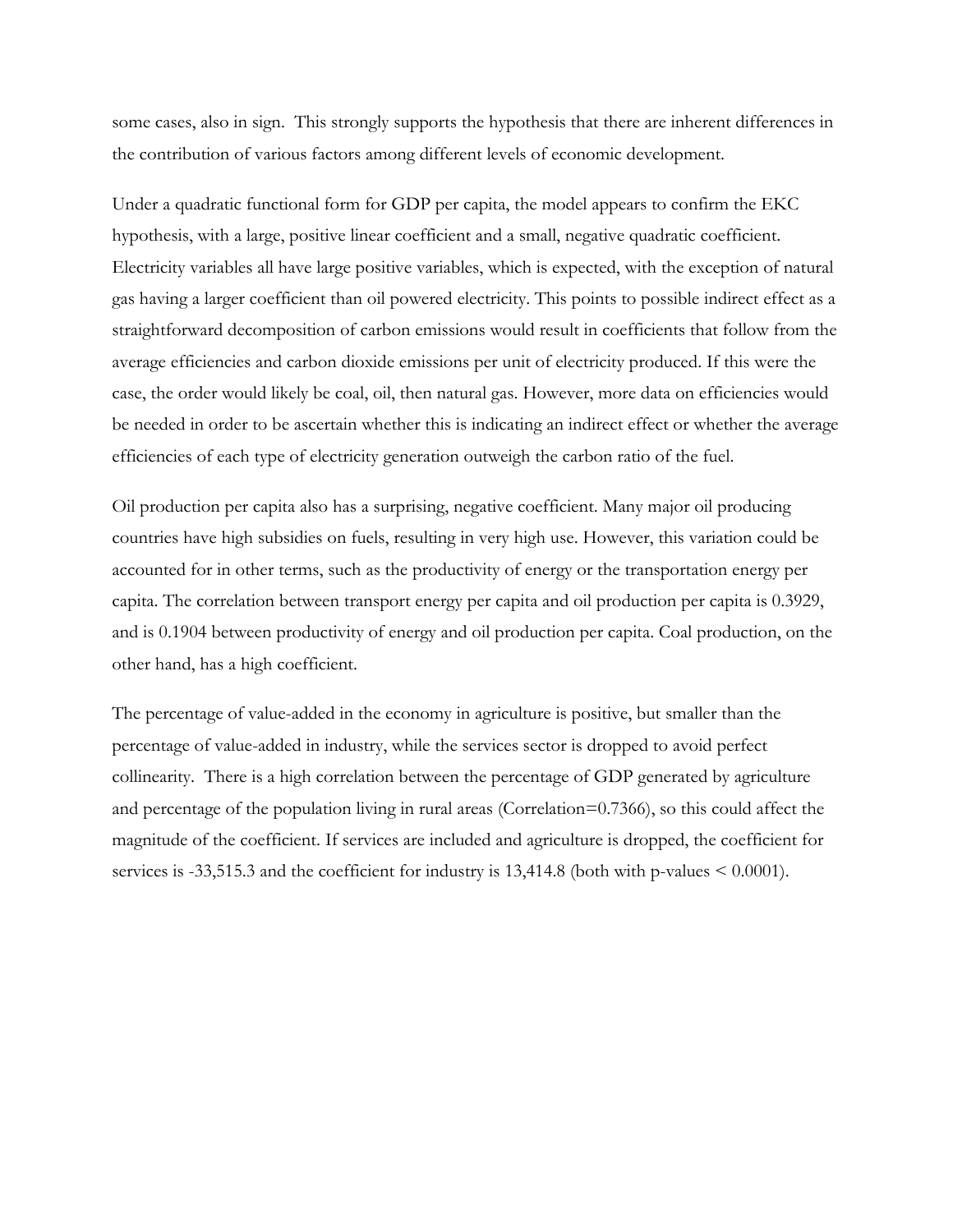some cases, also in sign. This strongly supports the hypothesis that there are inherent differences in the contribution of various factors among different levels of economic development.

Under a quadratic functional form for GDP per capita, the model appears to confirm the EKC hypothesis, with a large, positive linear coefficient and a small, negative quadratic coefficient. Electricity variables all have large positive variables, which is expected, with the exception of natural gas having a larger coefficient than oil powered electricity. This points to possible indirect effect as a straightforward decomposition of carbon emissions would result in coefficients that follow from the average efficiencies and carbon dioxide emissions per unit of electricity produced. If this were the case, the order would likely be coal, oil, then natural gas. However, more data on efficiencies would be needed in order to be ascertain whether this is indicating an indirect effect or whether the average efficiencies of each type of electricity generation outweigh the carbon ratio of the fuel.

Oil production per capita also has a surprising, negative coefficient. Many major oil producing countries have high subsidies on fuels, resulting in very high use. However, this variation could be accounted for in other terms, such as the productivity of energy or the transportation energy per capita. The correlation between transport energy per capita and oil production per capita is 0.3929, and is 0.1904 between productivity of energy and oil production per capita. Coal production, on the other hand, has a high coefficient.

The percentage of value-added in the economy in agriculture is positive, but smaller than the percentage of value-added in industry, while the services sector is dropped to avoid perfect collinearity. There is a high correlation between the percentage of GDP generated by agriculture and percentage of the population living in rural areas (Correlation=0.7366), so this could affect the magnitude of the coefficient. If services are included and agriculture is dropped, the coefficient for services is -33,515.3 and the coefficient for industry is 13,414.8 (both with p-values < 0.0001).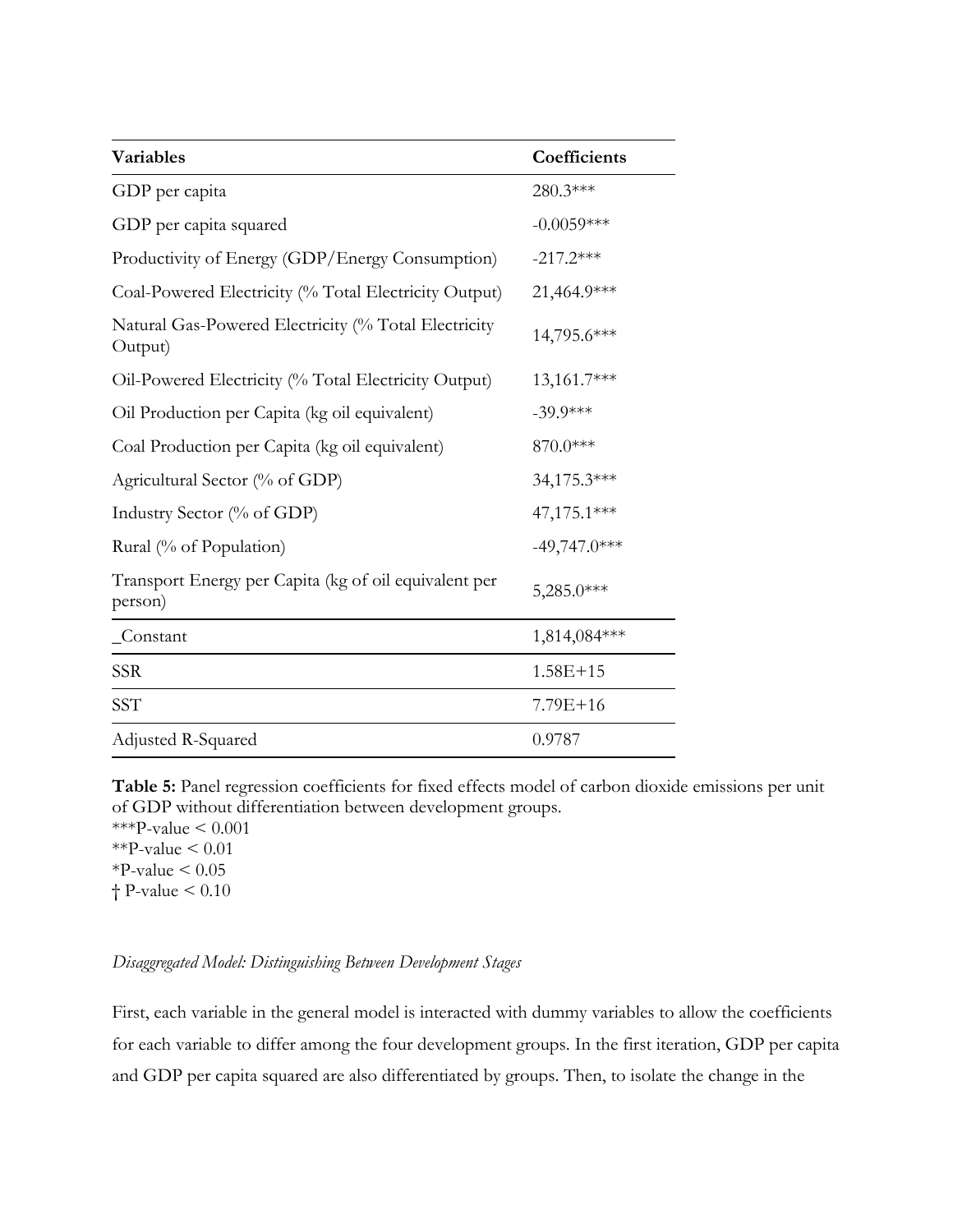| <b>Variables</b>                                                 | Coefficients   |
|------------------------------------------------------------------|----------------|
| GDP per capita                                                   | 280.3***       |
| GDP per capita squared                                           | $-0.0059***$   |
| Productivity of Energy (GDP/Energy Consumption)                  | $-217.2***$    |
| Coal-Powered Electricity (% Total Electricity Output)            | 21,464.9***    |
| Natural Gas-Powered Electricity (% Total Electricity<br>Output)  | 14,795.6***    |
| Oil-Powered Electricity (% Total Electricity Output)             | 13,161.7***    |
| Oil Production per Capita (kg oil equivalent)                    | $-39.9***$     |
| Coal Production per Capita (kg oil equivalent)                   | 870.0***       |
| Agricultural Sector (% of GDP)                                   | 34,175.3***    |
| Industry Sector (% of GDP)                                       | 47,175.1***    |
| Rural (% of Population)                                          | $-49,747.0***$ |
| Transport Energy per Capita (kg of oil equivalent per<br>person) | 5,285.0***     |
| _Constant                                                        | 1,814,084***   |
| <b>SSR</b>                                                       | $1.58E + 15$   |
| SST                                                              | 7.79E+16       |
| Adjusted R-Squared                                               | 0.9787         |

**Table 5:** Panel regression coefficients for fixed effects model of carbon dioxide emissions per unit of GDP without differentiation between development groups.

\*\*\*P-value  $< 0.001$ \*\*P-value  $\leq 0.01$  $*P$ -value < 0.05 † P-value < 0.10

## *Disaggregated Model: Distinguishing Between Development Stages*

First, each variable in the general model is interacted with dummy variables to allow the coefficients for each variable to differ among the four development groups. In the first iteration, GDP per capita and GDP per capita squared are also differentiated by groups. Then, to isolate the change in the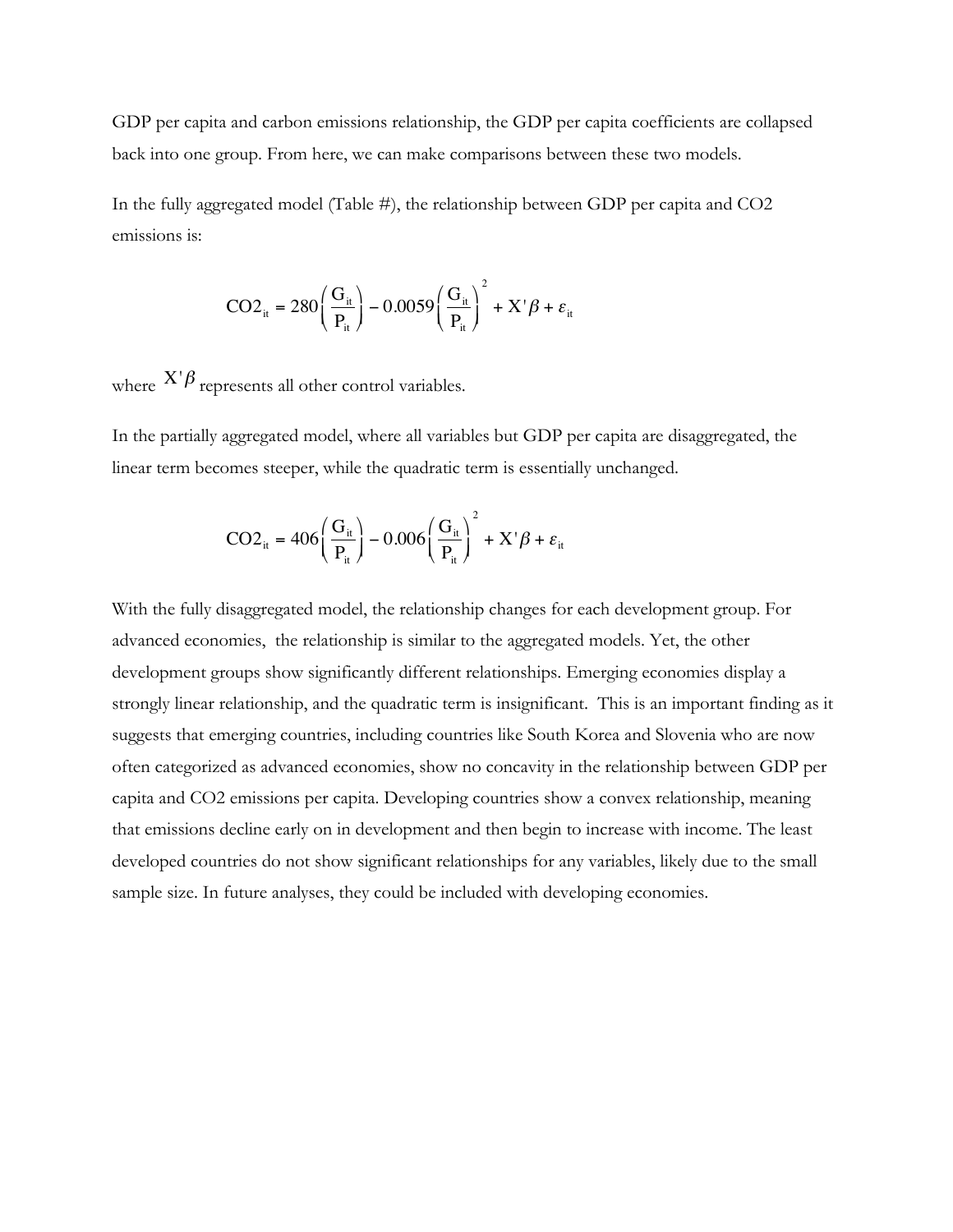GDP per capita and carbon emissions relationship, the GDP per capita coefficients are collapsed back into one group. From here, we can make comparisons between these two models.

In the fully aggregated model (Table #), the relationship between GDP per capita and CO2 emissions is:

$$
CO2_{it} = 280 \left( \frac{G_{it}}{P_{it}} \right) - 0.0059 \left( \frac{G_{it}}{P_{it}} \right)^{2} + X' \beta + \varepsilon_{it}
$$

where  $X'\beta$  represents all other control variables.

In the partially aggregated model, where all variables but GDP per capita are disaggregated, the linear term becomes steeper, while the quadratic term is essentially unchanged.

$$
CO2_{it} = 406 \left(\frac{G_{it}}{P_{it}}\right) - 0.006 \left(\frac{G_{it}}{P_{it}}\right)^{2} + X'\beta + \varepsilon_{it}
$$

With the fully disaggregated model, the relationship changes for each development group. For advanced economies, the relationship is similar to the aggregated models. Yet, the other development groups show significantly different relationships. Emerging economies display a strongly linear relationship, and the quadratic term is insignificant. This is an important finding as it suggests that emerging countries, including countries like South Korea and Slovenia who are now often categorized as advanced economies, show no concavity in the relationship between GDP per capita and CO2 emissions per capita. Developing countries show a convex relationship, meaning that emissions decline early on in development and then begin to increase with income. The least developed countries do not show significant relationships for any variables, likely due to the small sample size. In future analyses, they could be included with developing economies.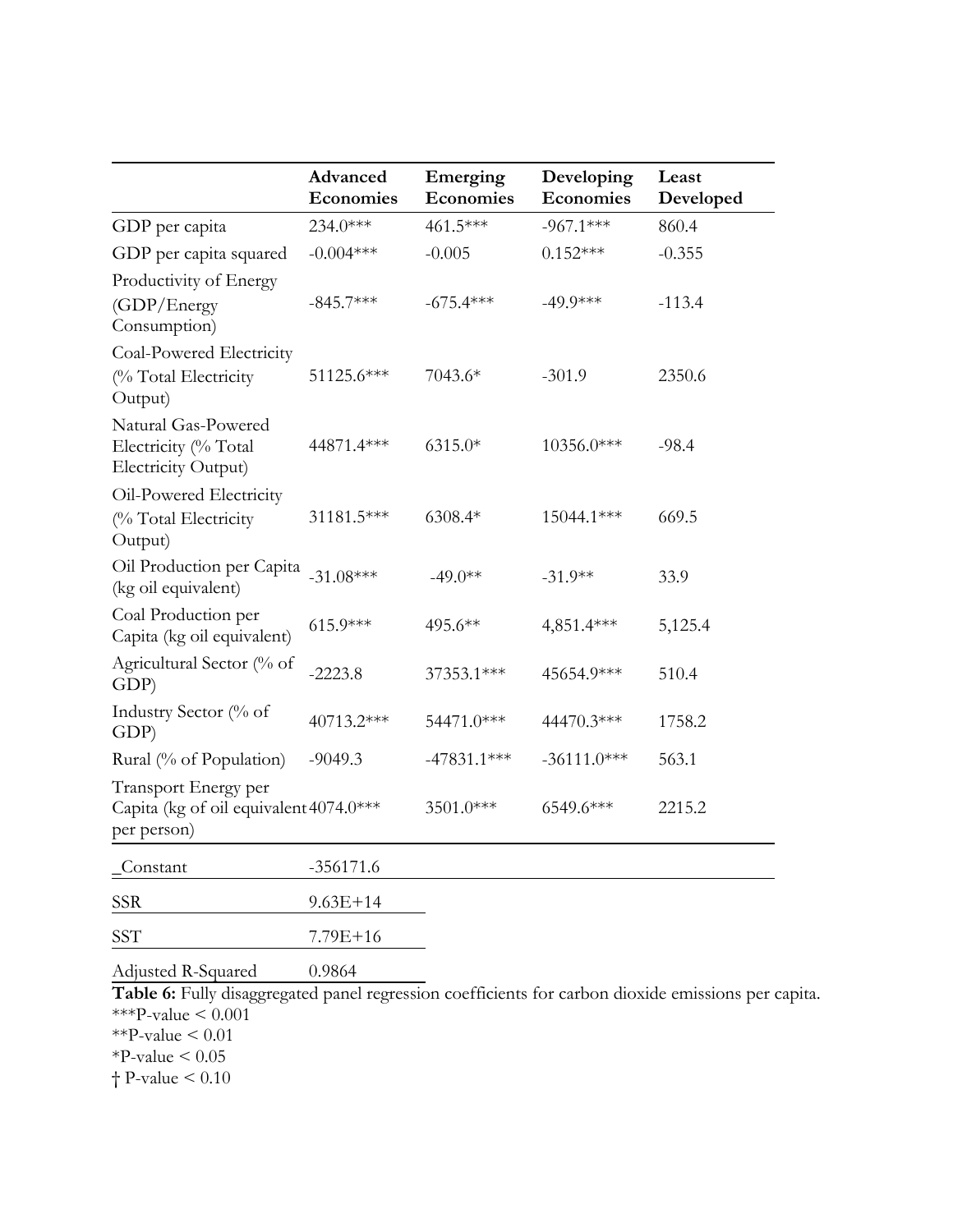|                                                                               | Advanced<br>Economies | Emerging<br><b>Economies</b> | Developing<br><b>Economies</b> | Least<br>Developed |
|-------------------------------------------------------------------------------|-----------------------|------------------------------|--------------------------------|--------------------|
| GDP per capita                                                                | $234.0***$            | 461.5***                     | $-967.1***$                    | 860.4              |
| GDP per capita squared                                                        | $-0.004***$           | $-0.005$                     | $0.152***$                     | $-0.355$           |
| Productivity of Energy<br>(GDP/Energy)<br>Consumption)                        | $-845.7***$           | $-675.4***$                  | $-49.9***$                     | $-113.4$           |
| Coal-Powered Electricity<br>(% Total Electricity<br>Output)                   | 51125.6***            | 7043.6*                      | $-301.9$                       | 2350.6             |
| Natural Gas-Powered<br>Electricity (% Total<br>Electricity Output)            | 44871.4***            | $6315.0*$                    | 10356.0***                     | $-98.4$            |
| Oil-Powered Electricity<br>(% Total Electricity<br>Output)                    | 31181.5***            | 6308.4*                      | 15044.1***                     | 669.5              |
| Oil Production per Capita<br>(kg oil equivalent)                              | $-31.08***$           | $-49.0**$                    | $-31.9**$                      | 33.9               |
| Coal Production per<br>Capita (kg oil equivalent)                             | $615.9***$            | 495.6**                      | 4,851.4***                     | 5,125.4            |
| Agricultural Sector (% of<br>GDP)                                             | $-2223.8$             | 37353.1***                   | 45654.9***                     | 510.4              |
| Industry Sector (% of<br>GDP)                                                 | 40713.2***            | 54471.0***                   | 44470.3***                     | 1758.2             |
| Rural (% of Population)                                                       | $-9049.3$             | $-47831.1***$                | $-36111.0***$                  | 563.1              |
| Transport Energy per<br>Capita (kg of oil equivalent 4074.0***<br>per person) |                       | 3501.0***                    | 6549.6***                      | 2215.2             |
| Constant                                                                      | $-356171.6$           |                              |                                |                    |
| <b>SSR</b>                                                                    | $9.63E + 14$          |                              |                                |                    |
| SST                                                                           | 7.79E+16              |                              |                                |                    |
| Adjusted R-Squared                                                            | 0.9864                |                              |                                |                    |

**Table 6:** Fully disaggregated panel regression coefficients for carbon dioxide emissions per capita. \*\*\*P-value  $\leq 0.001$  $*$ <sup>-</sup>P-value  $< 0.01$ 

 $*P$ -value  $< 0.05$ 

† P-value < 0.10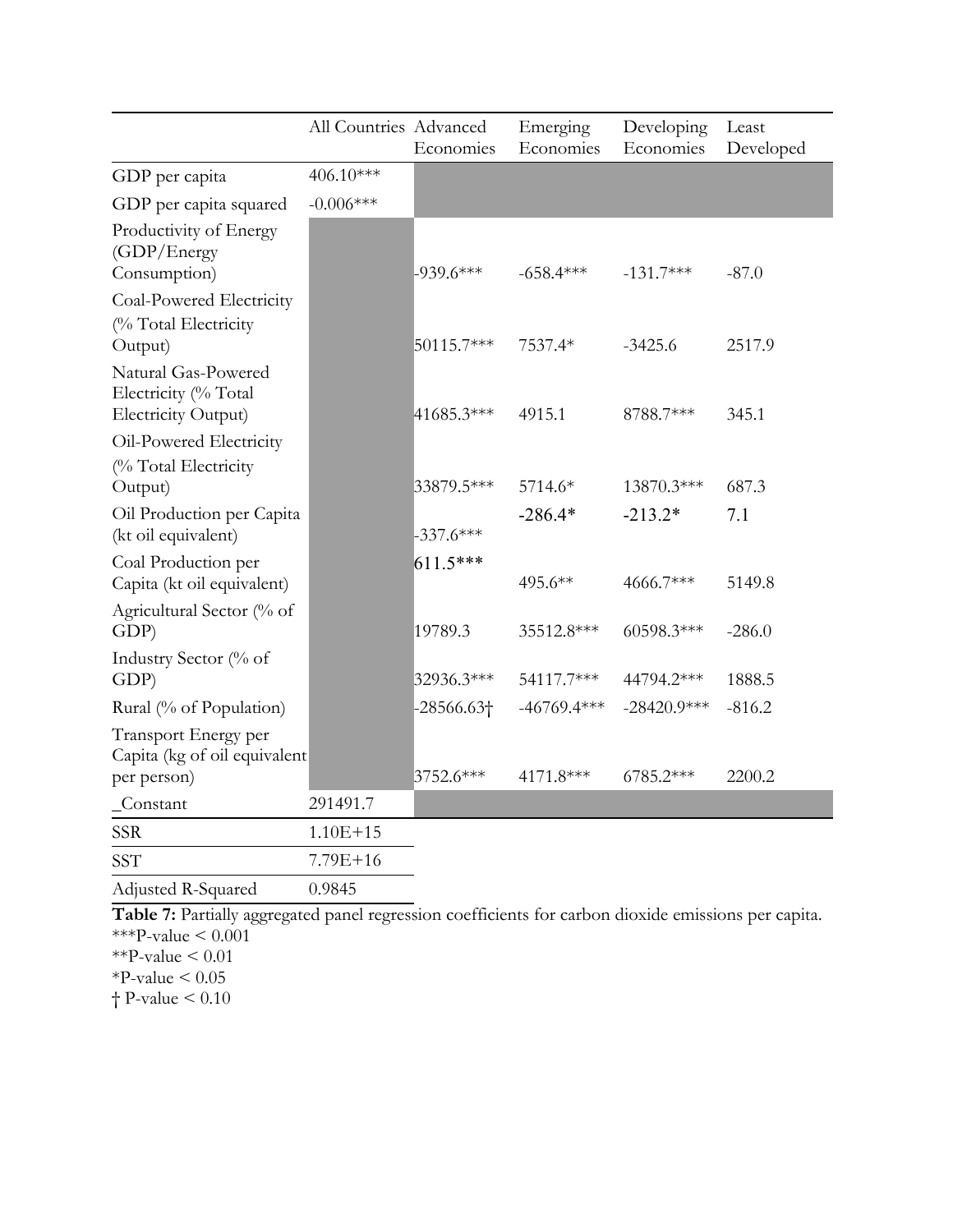|                                                                     | All Countries Advanced | Economies          | Emerging<br>Economies | Developing<br>Economies | Least<br>Developed |
|---------------------------------------------------------------------|------------------------|--------------------|-----------------------|-------------------------|--------------------|
| GDP per capita                                                      | 406.10***              |                    |                       |                         |                    |
| GDP per capita squared                                              | $-0.006***$            |                    |                       |                         |                    |
| Productivity of Energy<br>(GDP/Energy<br>Consumption)               |                        | $-939.6***$        | $-658.4***$           | $-131.7***$             | $-87.0$            |
| Coal-Powered Electricity                                            |                        |                    |                       |                         |                    |
| (% Total Electricity<br>Output)                                     |                        | 50115.7***         | 7537.4*               | $-3425.6$               | 2517.9             |
| Natural Gas-Powered<br>Electricity (% Total<br>Electricity Output)  |                        | 41685.3***         | 4915.1                | 8788.7***               | 345.1              |
| Oil-Powered Electricity                                             |                        |                    |                       |                         |                    |
| (% Total Electricity<br>Output)                                     |                        | 33879.5***         | 5714.6*               | 13870.3***              | 687.3              |
| Oil Production per Capita<br>(kt oil equivalent)                    |                        | $-337.6***$        | $-286.4*$             | $-213.2*$               | 7.1                |
| Coal Production per<br>Capita (kt oil equivalent)                   |                        | $611.5***$         | 495.6**               | 4666.7***               | 5149.8             |
| Agricultural Sector (% of<br>GDP)                                   |                        | 19789.3            | 35512.8***            | 60598.3***              | $-286.0$           |
| Industry Sector (% of<br>GDP)                                       |                        | 32936.3***         | 54117.7***            | 44794.2***              | 1888.5             |
| Rural (% of Population)                                             |                        | $-28566.63\dagger$ | $-46769.4***$         | $-28420.9***$           | $-816.2$           |
| Transport Energy per<br>Capita (kg of oil equivalent<br>per person) |                        | 3752.6***          | 4171.8***             | 6785.2***               | 2200.2             |
| Constant                                                            | 291491.7               |                    |                       |                         |                    |
| <b>SSR</b>                                                          | $1.10E + 15$           |                    |                       |                         |                    |
| <b>SST</b>                                                          | $7.79E + 16$           |                    |                       |                         |                    |
| Adjusted R-Squared                                                  | 0.9845                 |                    |                       |                         |                    |

**Table 7:** Partially aggregated panel regression coefficients for carbon dioxide emissions per capita. \*\*\*P-value  $\leq 0.001$ 

 $*$ <sup>\*</sup>P-value < 0.01

 $*P$ -value < 0.05

† P-value < 0.10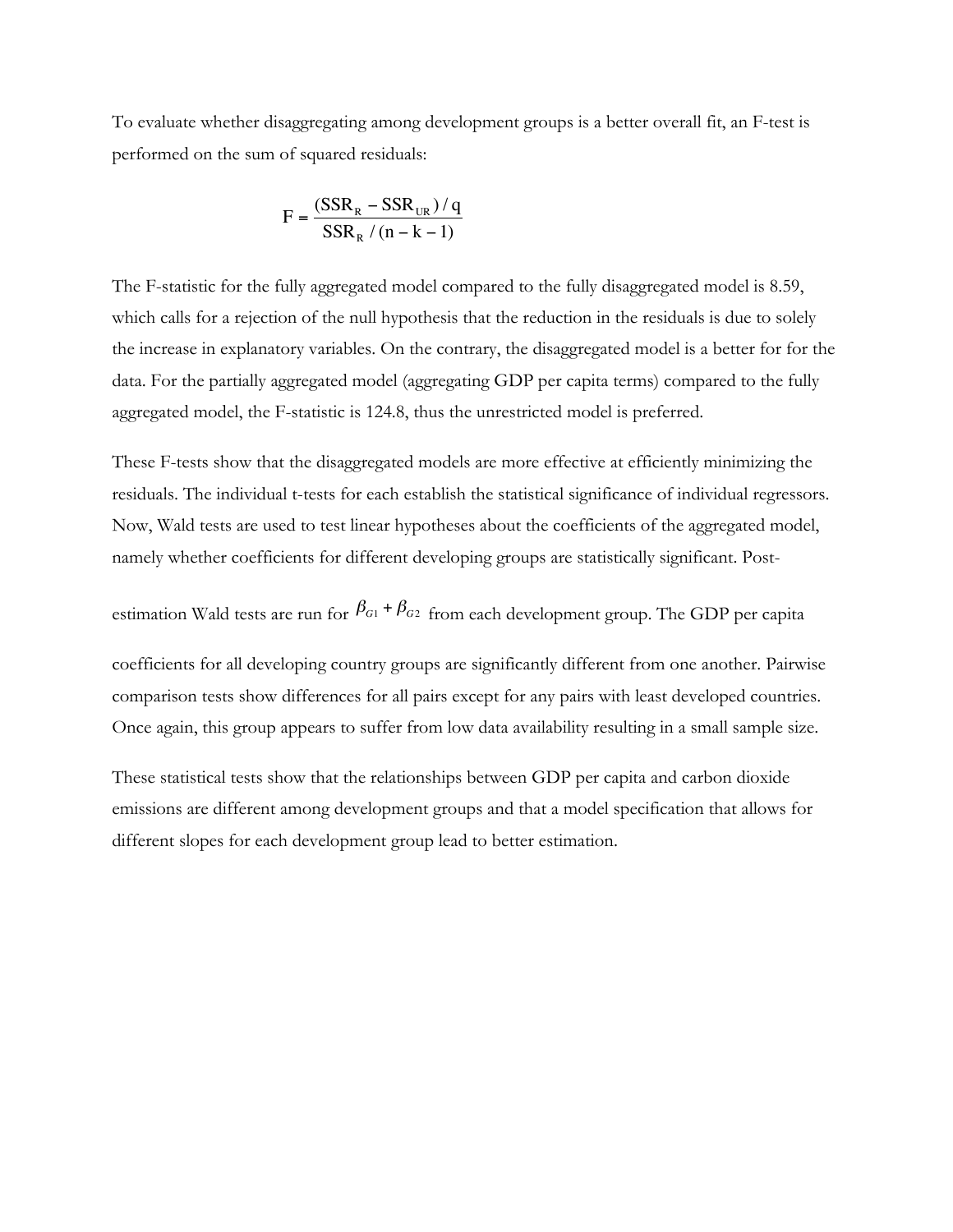To evaluate whether disaggregating among development groups is a better overall fit, an F-test is performed on the sum of squared residuals:

$$
F = \frac{(SSR_R - SSR_{UR})/q}{SSR_R / (n - k - 1)}
$$

The F-statistic for the fully aggregated model compared to the fully disaggregated model is 8.59, which calls for a rejection of the null hypothesis that the reduction in the residuals is due to solely the increase in explanatory variables. On the contrary, the disaggregated model is a better for for the data. For the partially aggregated model (aggregating GDP per capita terms) compared to the fully aggregated model, the F-statistic is 124.8, thus the unrestricted model is preferred.

These F-tests show that the disaggregated models are more effective at efficiently minimizing the residuals. The individual t-tests for each establish the statistical significance of individual regressors. Now, Wald tests are used to test linear hypotheses about the coefficients of the aggregated model, namely whether coefficients for different developing groups are statistically significant. Post-

estimation Wald tests are run for  $\beta_{G1} + \beta_{G2}$  from each development group. The GDP per capita

coefficients for all developing country groups are significantly different from one another. Pairwise comparison tests show differences for all pairs except for any pairs with least developed countries. Once again, this group appears to suffer from low data availability resulting in a small sample size.

These statistical tests show that the relationships between GDP per capita and carbon dioxide emissions are different among development groups and that a model specification that allows for different slopes for each development group lead to better estimation.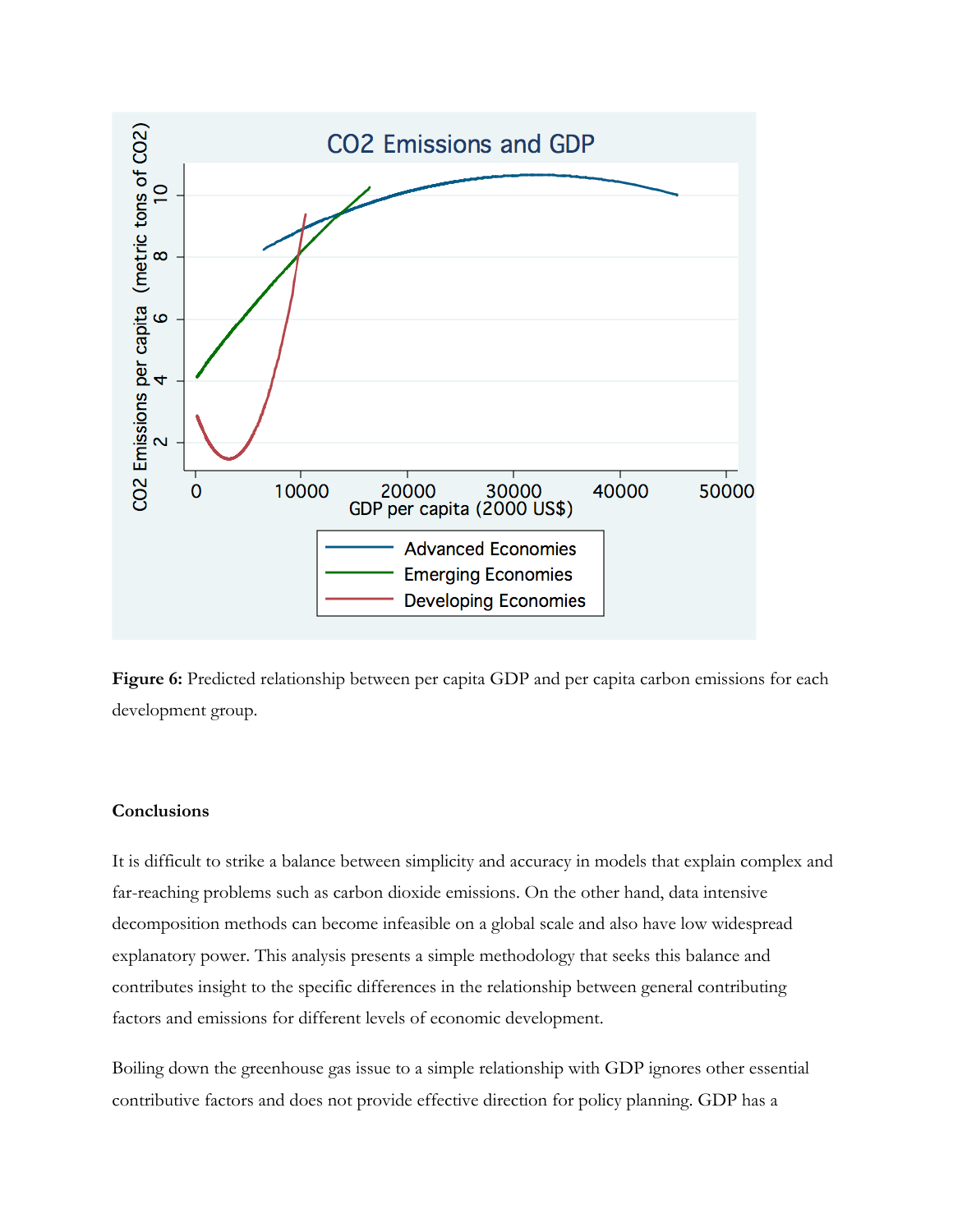

Figure 6: Predicted relationship between per capita GDP and per capita carbon emissions for each development group.

### **Conclusions**

It is difficult to strike a balance between simplicity and accuracy in models that explain complex and far-reaching problems such as carbon dioxide emissions. On the other hand, data intensive decomposition methods can become infeasible on a global scale and also have low widespread explanatory power. This analysis presents a simple methodology that seeks this balance and contributes insight to the specific differences in the relationship between general contributing factors and emissions for different levels of economic development.

Boiling down the greenhouse gas issue to a simple relationship with GDP ignores other essential contributive factors and does not provide effective direction for policy planning. GDP has a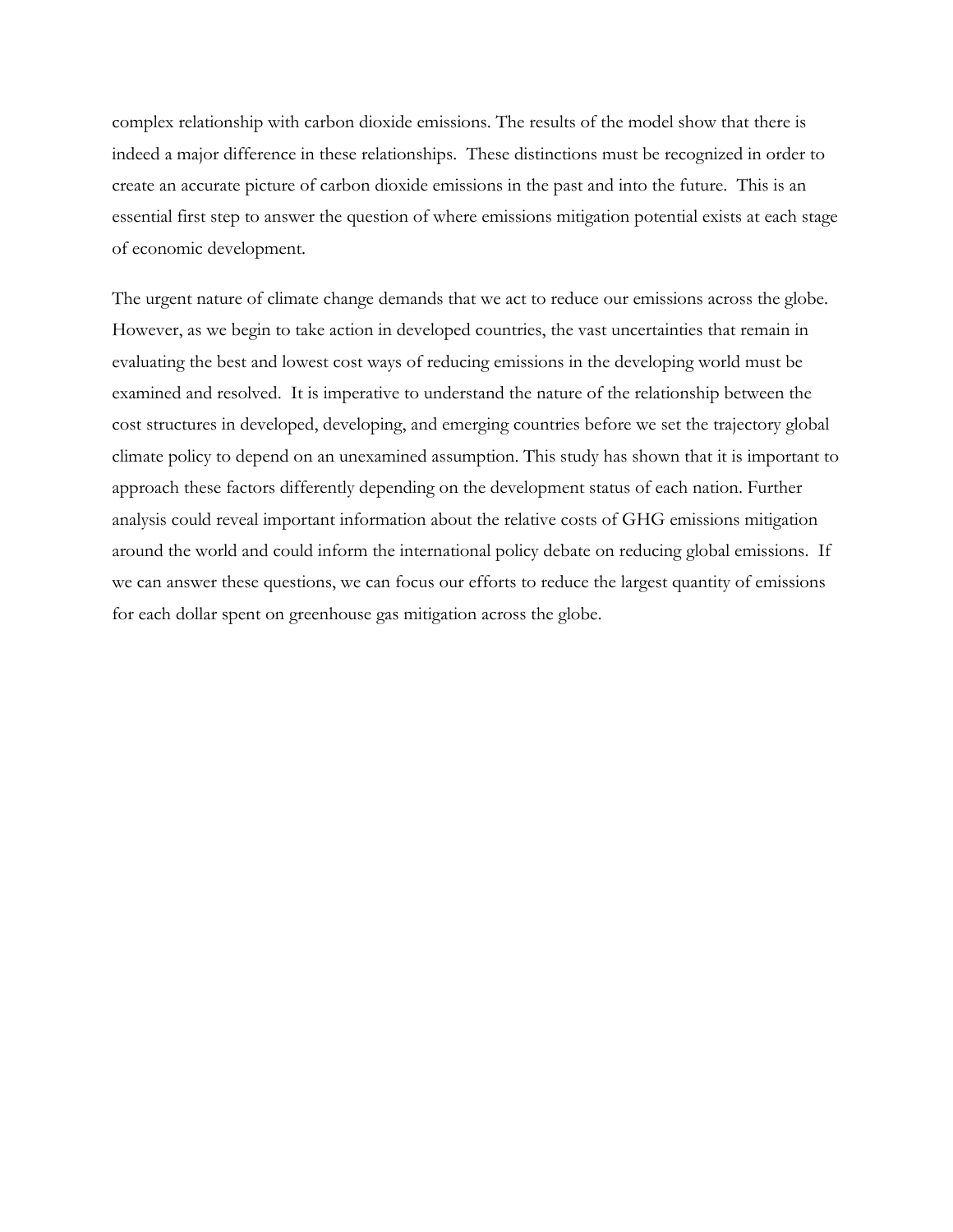complex relationship with carbon dioxide emissions. The results of the model show that there is indeed a major difference in these relationships. These distinctions must be recognized in order to create an accurate picture of carbon dioxide emissions in the past and into the future. This is an essential first step to answer the question of where emissions mitigation potential exists at each stage of economic development.

The urgent nature of climate change demands that we act to reduce our emissions across the globe. However, as we begin to take action in developed countries, the vast uncertainties that remain in evaluating the best and lowest cost ways of reducing emissions in the developing world must be examined and resolved. It is imperative to understand the nature of the relationship between the cost structures in developed, developing, and emerging countries before we set the trajectory global climate policy to depend on an unexamined assumption. This study has shown that it is important to approach these factors differently depending on the development status of each nation. Further analysis could reveal important information about the relative costs of GHG emissions mitigation around the world and could inform the international policy debate on reducing global emissions. If we can answer these questions, we can focus our efforts to reduce the largest quantity of emissions for each dollar spent on greenhouse gas mitigation across the globe.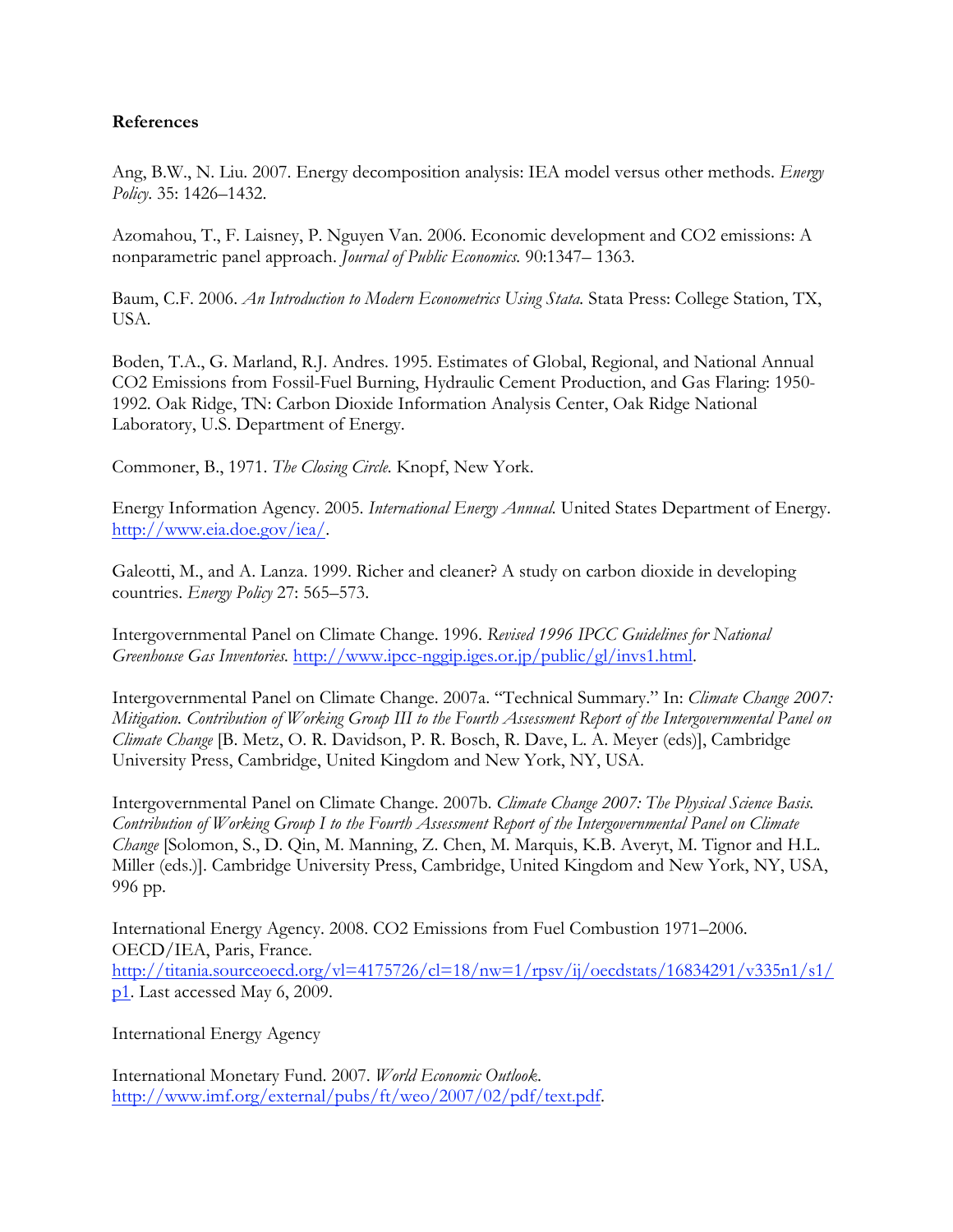## **References**

Ang, B.W., N. Liu. 2007. Energy decomposition analysis: IEA model versus other methods. *Energy Policy*. 35: 1426–1432.

Azomahou, T., F. Laisney, P. Nguyen Van. 2006. Economic development and CO2 emissions: A nonparametric panel approach. *Journal of Public Economics.* 90:1347– 1363.

Baum, C.F. 2006. *An Introduction to Modern Econometrics Using Stata.* Stata Press: College Station, TX, USA.

Boden, T.A., G. Marland, R.J. Andres. 1995. Estimates of Global, Regional, and National Annual CO2 Emissions from Fossil-Fuel Burning, Hydraulic Cement Production, and Gas Flaring: 1950- 1992. Oak Ridge, TN: Carbon Dioxide Information Analysis Center, Oak Ridge National Laboratory, U.S. Department of Energy.

Commoner, B., 1971. *The Closing Circle.* Knopf, New York.

Energy Information Agency. 2005. *International Energy Annual.* United States Department of Energy. http://www.eia.doe.gov/iea/.

Galeotti, M., and A. Lanza. 1999. Richer and cleaner? A study on carbon dioxide in developing countries. *Energy Policy* 27: 565–573.

Intergovernmental Panel on Climate Change. 1996. *Revised 1996 IPCC Guidelines for National Greenhouse Gas Inventories.* http://www.ipcc-nggip.iges.or.jp/public/gl/invs1.html.

Intergovernmental Panel on Climate Change. 2007a. "Technical Summary." In: *Climate Change 2007: Mitigation. Contribution of Working Group III to the Fourth Assessment Report of the Intergovernmental Panel on Climate Change* [B. Metz, O. R. Davidson, P. R. Bosch, R. Dave, L. A. Meyer (eds)], Cambridge University Press, Cambridge, United Kingdom and New York, NY, USA.

Intergovernmental Panel on Climate Change. 2007b. *Climate Change 2007: The Physical Science Basis. Contribution of Working Group I to the Fourth Assessment Report of the Intergovernmental Panel on Climate Change* [Solomon, S., D. Qin, M. Manning, Z. Chen, M. Marquis, K.B. Averyt, M. Tignor and H.L. Miller (eds.)]. Cambridge University Press, Cambridge, United Kingdom and New York, NY, USA, 996 pp.

International Energy Agency. 2008. CO2 Emissions from Fuel Combustion 1971–2006. OECD/IEA, Paris, France. http://titania.sourceoecd.org/vl=4175726/cl=18/nw=1/rpsv/ij/oecdstats/16834291/v335n1/s1/ p1. Last accessed May 6, 2009.

International Energy Agency

International Monetary Fund. 2007. *World Economic Outlook*. http://www.imf.org/external/pubs/ft/weo/2007/02/pdf/text.pdf.